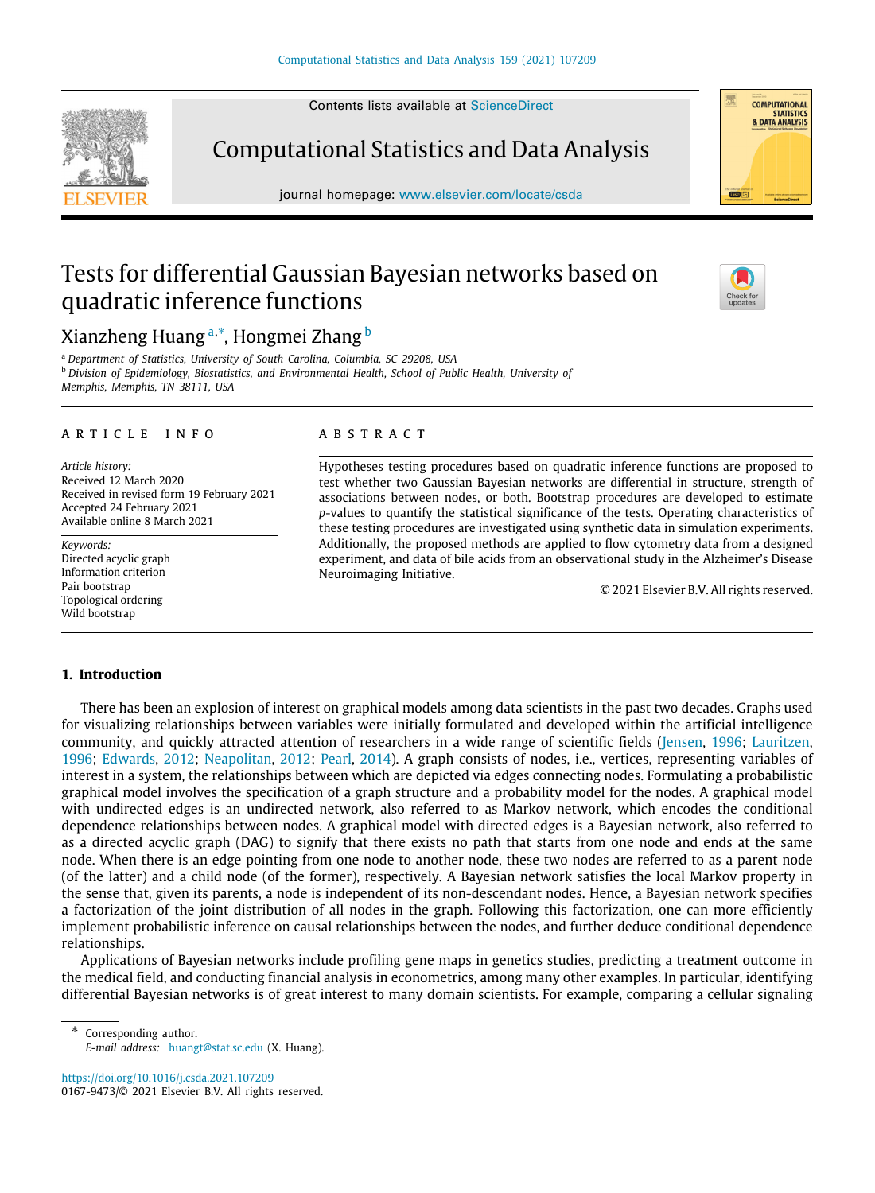Contents lists available at [ScienceDirect](http://www.elsevier.com/locate/csda)

Computational Statistics and Data Analysis

journal homepage: [www.elsevier.com/locate/csda](http://www.elsevier.com/locate/csda)

# Tests for differential Gaussian Bayesian networks based on quadratic inference functions

# Xi[a](#page-0-0)nzheng Huang <sup>a,[∗](#page-0-1)</sup>, Hongmei Zhang <sup>[b](#page-0-2)</sup>

<span id="page-0-2"></span><span id="page-0-0"></span><sup>a</sup> *Department of Statistics, University of South Carolina, Columbia, SC 29208, USA* <sup>b</sup> *Division of Epidemiology, Biostatistics, and Environmental Health, School of Public Health, University of Memphis, Memphis, TN 38111, USA*

#### a r t i c l e i n f o

*Article history:* Received 12 March 2020 Received in revised form 19 February 2021 Accepted 24 February 2021 Available online 8 March 2021

*Keywords:* Directed acyclic graph Information criterion Pair bootstrap Topological ordering Wild bootstrap

#### A B S T R A C T

Hypotheses testing procedures based on quadratic inference functions are proposed to test whether two Gaussian Bayesian networks are differential in structure, strength of associations between nodes, or both. Bootstrap procedures are developed to estimate *p*-values to quantify the statistical significance of the tests. Operating characteristics of these testing procedures are investigated using synthetic data in simulation experiments. Additionally, the proposed methods are applied to flow cytometry data from a designed experiment, and data of bile acids from an observational study in the Alzheimer's Disease Neuroimaging Initiative.

© 2021 Elsevier B.V. All rights reserved.

#### **1. Introduction**

There has been an explosion of interest on graphical models among data scientists in the past two decades. Graphs used for visualizing relationships between variables were initially formulated and developed within the artificial intelligence community, and quickly attracted attention of researchers in a wide range of scientific fields [\(Jensen](#page-15-0), [1996;](#page-15-0) [Lauritzen,](#page-15-1) [1996;](#page-15-1) [Edwards,](#page-15-2) [2012](#page-15-2); [Neapolitan](#page-16-0), [2012;](#page-16-0) [Pearl,](#page-16-1) [2014](#page-16-1)). A graph consists of nodes, i.e., vertices, representing variables of interest in a system, the relationships between which are depicted via edges connecting nodes. Formulating a probabilistic graphical model involves the specification of a graph structure and a probability model for the nodes. A graphical model with undirected edges is an undirected network, also referred to as Markov network, which encodes the conditional dependence relationships between nodes. A graphical model with directed edges is a Bayesian network, also referred to as a directed acyclic graph (DAG) to signify that there exists no path that starts from one node and ends at the same node. When there is an edge pointing from one node to another node, these two nodes are referred to as a parent node (of the latter) and a child node (of the former), respectively. A Bayesian network satisfies the local Markov property in the sense that, given its parents, a node is independent of its non-descendant nodes. Hence, a Bayesian network specifies a factorization of the joint distribution of all nodes in the graph. Following this factorization, one can more efficiently implement probabilistic inference on causal relationships between the nodes, and further deduce conditional dependence relationships.

Applications of Bayesian networks include profiling gene maps in genetics studies, predicting a treatment outcome in the medical field, and conducting financial analysis in econometrics, among many other examples. In particular, identifying differential Bayesian networks is of great interest to many domain scientists. For example, comparing a cellular signaling

<span id="page-0-1"></span>Corresponding author. *E-mail address:* [huangt@stat.sc.edu](mailto:huangt@stat.sc.edu) (X. Huang).

<https://doi.org/10.1016/j.csda.2021.107209> 0167-9473/© 2021 Elsevier B.V. All rights reserved.





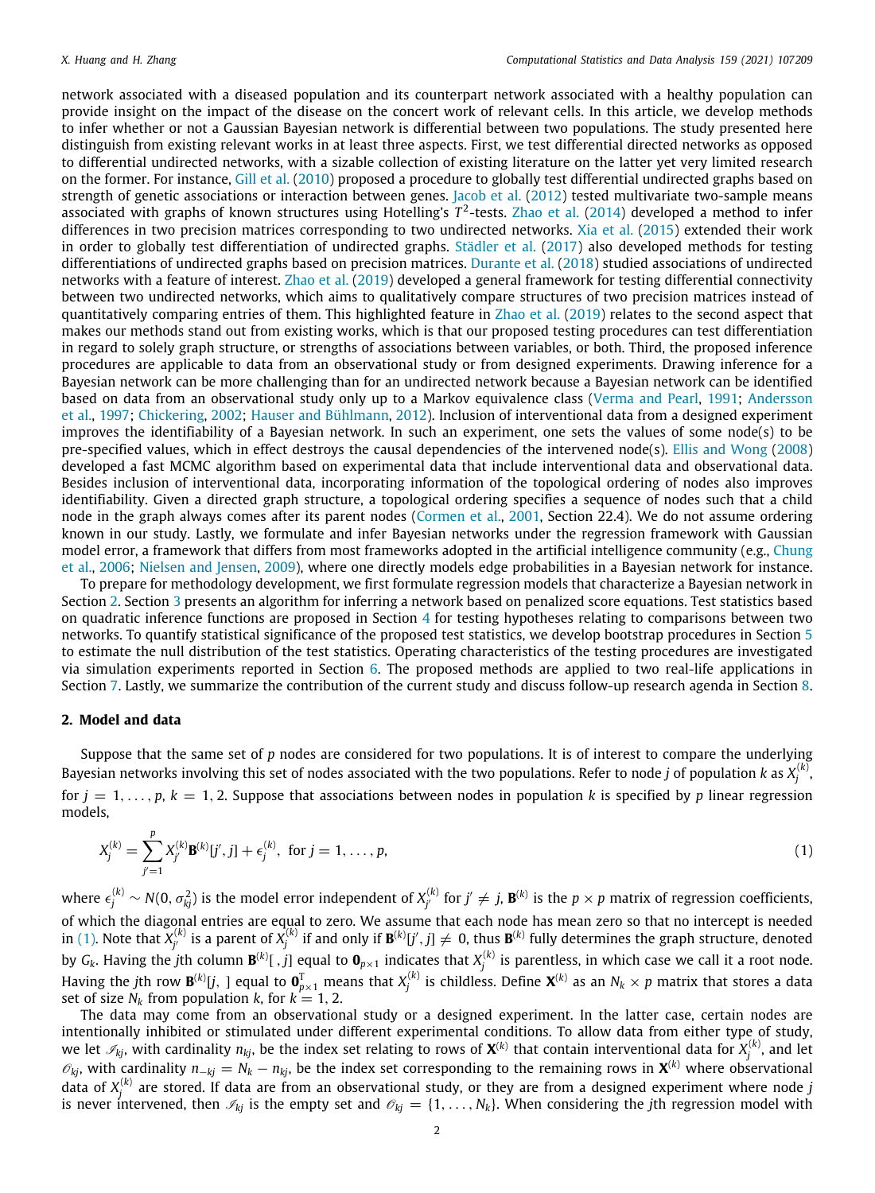network associated with a diseased population and its counterpart network associated with a healthy population can provide insight on the impact of the disease on the concert work of relevant cells. In this article, we develop methods to infer whether or not a Gaussian Bayesian network is differential between two populations. The study presented here distinguish from existing relevant works in at least three aspects. First, we test differential directed networks as opposed to differential undirected networks, with a sizable collection of existing literature on the latter yet very limited research on the former. For instance, [Gill et al.](#page-15-3) ([2010\)](#page-15-3) proposed a procedure to globally test differential undirected graphs based on strength of genetic associations or interaction between genes. [Jacob et al.](#page-15-4) [\(2012\)](#page-15-4) tested multivariate two-sample means associated with graphs of known structures using Hotelling's *T* 2 -tests. [Zhao et al.](#page-16-2) [\(2014](#page-16-2)) developed a method to infer differences in two precision matrices corresponding to two undirected networks. [Xia et al.](#page-16-3) [\(2015\)](#page-16-3) extended their work in order to globally test differentiation of undirected graphs. [Städler et al.](#page-16-4) [\(2017\)](#page-16-4) also developed methods for testing differentiations of undirected graphs based on precision matrices. [Durante et al.](#page-15-5) ([2018\)](#page-15-5) studied associations of undirected networks with a feature of interest. [Zhao et al.](#page-16-5) ([2019\)](#page-16-5) developed a general framework for testing differential connectivity between two undirected networks, which aims to qualitatively compare structures of two precision matrices instead of quantitatively comparing entries of them. This highlighted feature in [Zhao et al.](#page-16-5) ([2019\)](#page-16-5) relates to the second aspect that makes our methods stand out from existing works, which is that our proposed testing procedures can test differentiation in regard to solely graph structure, or strengths of associations between variables, or both. Third, the proposed inference procedures are applicable to data from an observational study or from designed experiments. Drawing inference for a Bayesian network can be more challenging than for an undirected network because a Bayesian network can be identified based on data from an observational study only up to a Markov equivalence class [\(Verma and Pearl,](#page-16-6) [1991](#page-16-6); [Andersson](#page-15-6) [et al.](#page-15-6), [1997;](#page-15-6) [Chickering](#page-15-7), [2002;](#page-15-7) [Hauser and Bühlmann](#page-15-8), [2012\)](#page-15-8). Inclusion of interventional data from a designed experiment improves the identifiability of a Bayesian network. In such an experiment, one sets the values of some node(s) to be pre-specified values, which in effect destroys the causal dependencies of the intervened node(s). [Ellis and Wong](#page-15-9) ([2008\)](#page-15-9) developed a fast MCMC algorithm based on experimental data that include interventional data and observational data. Besides inclusion of interventional data, incorporating information of the topological ordering of nodes also improves identifiability. Given a directed graph structure, a topological ordering specifies a sequence of nodes such that a child node in the graph always comes after its parent nodes [\(Cormen et al.,](#page-15-10) [2001](#page-15-10), Section 22.4). We do not assume ordering known in our study. Lastly, we formulate and infer Bayesian networks under the regression framework with Gaussian model error, a framework that differs from most frameworks adopted in the artificial intelligence community (e.g., [Chung](#page-15-11) [et al.](#page-15-11), [2006](#page-15-11); [Nielsen and Jensen](#page-16-7), [2009\)](#page-16-7), where one directly models edge probabilities in a Bayesian network for instance.

To prepare for methodology development, we first formulate regression models that characterize a Bayesian network in Section [2](#page-1-0). Section [3](#page-2-0) presents an algorithm for inferring a network based on penalized score equations. Test statistics based on quadratic inference functions are proposed in Section [4](#page-4-0) for testing hypotheses relating to comparisons between two networks. To quantify statistical significance of the proposed test statistics, we develop bootstrap procedures in Section [5](#page-5-0) to estimate the null distribution of the test statistics. Operating characteristics of the testing procedures are investigated via simulation experiments reported in Section [6](#page-9-0). The proposed methods are applied to two real-life applications in Section [7.](#page-12-0) Lastly, we summarize the contribution of the current study and discuss follow-up research agenda in Section [8.](#page-14-0)

# **2. Model and data**

<span id="page-1-0"></span>Suppose that the same set of *p* nodes are considered for two populations. It is of interest to compare the underlying Bayesian networks involving this set of nodes associated with the two populations. Refer to node  $j$  of population  $k$  as  $X_j^{(k)}$ for  $j = 1, \ldots, p, k = 1, 2$ . Suppose that associations between nodes in population *k* is specified by *p* linear regression models,

<span id="page-1-1"></span>
$$
X_j^{(k)} = \sum_{j'=1}^p X_{j'}^{(k)} \mathbf{B}^{(k)}[j', j] + \epsilon_j^{(k)}, \text{ for } j = 1, \dots, p,
$$
\n(1)

where  $\epsilon_j^{(k)}\sim N(0,\sigma_{kj}^2)$  is the model error independent of  $X_{j'}^{(k)}$  for  $j'\neq j$ ,  $\mathbf{B}^{(k)}$  is the  $p\times p$  matrix of regression coefficients, of which the diagonal entries are equal to zero. We assume that each node has mean zero so that no intercept is needed in [\(1](#page-1-1)). Note that  $X_{j'}^{(k)}$  is a parent of  $X_j^{(k)}$  if and only if  $\mathbf{B}^{(k)}[j',j]\neq0$ , thus  $\mathbf{B}^{(k)}$  fully determines the graph structure, denoted by  $G_k$ . Having the *j*th column  $\mathbf{B}^{(k)}[~,j]$  equal to  $\mathbf{0}_{p\times 1}$  indicates that  $X_j^{(k)}$  is parentless, in which case we call it a root node. Having the jth row  $\mathbf{B}^{(k)}[j]$ , ] equal to  $\mathbf{0}^T_{p\times 1}$  means that  $X_j^{(k)}$  is childless. Define  $\mathbf{X}^{(k)}$  as an  $N_k\times p$  matrix that stores a data set of size  $N_k$  from population k, for  $k = 1, 2$ .

The data may come from an observational study or a designed experiment. In the latter case, certain nodes are intentionally inhibited or stimulated under different experimental conditions. To allow data from either type of study, we let  $\mathscr{I}_{kj}$ , with cardinality  $n_{kj}$ , be the index set relating to rows of  $\mathbf{X}^{(k)}$  that contain interventional data for  $X_j^{(k)}$ , and let  $\mathscr{O}_{kj}$ , with cardinality  $n_{-kj} = N_k - n_{kj}$ , be the index set corresponding to the remaining rows in  $\mathbf{X}^{(k)}$  where observational data of *X* (*k*) *j* are stored. If data are from an observational study, or they are from a designed experiment where node *j* is never intervened, then  $\mathcal{I}_{ki}$  is the empty set and  $\mathcal{O}_{ki} = \{1,\ldots,N_k\}$ . When considering the *j*th regression model with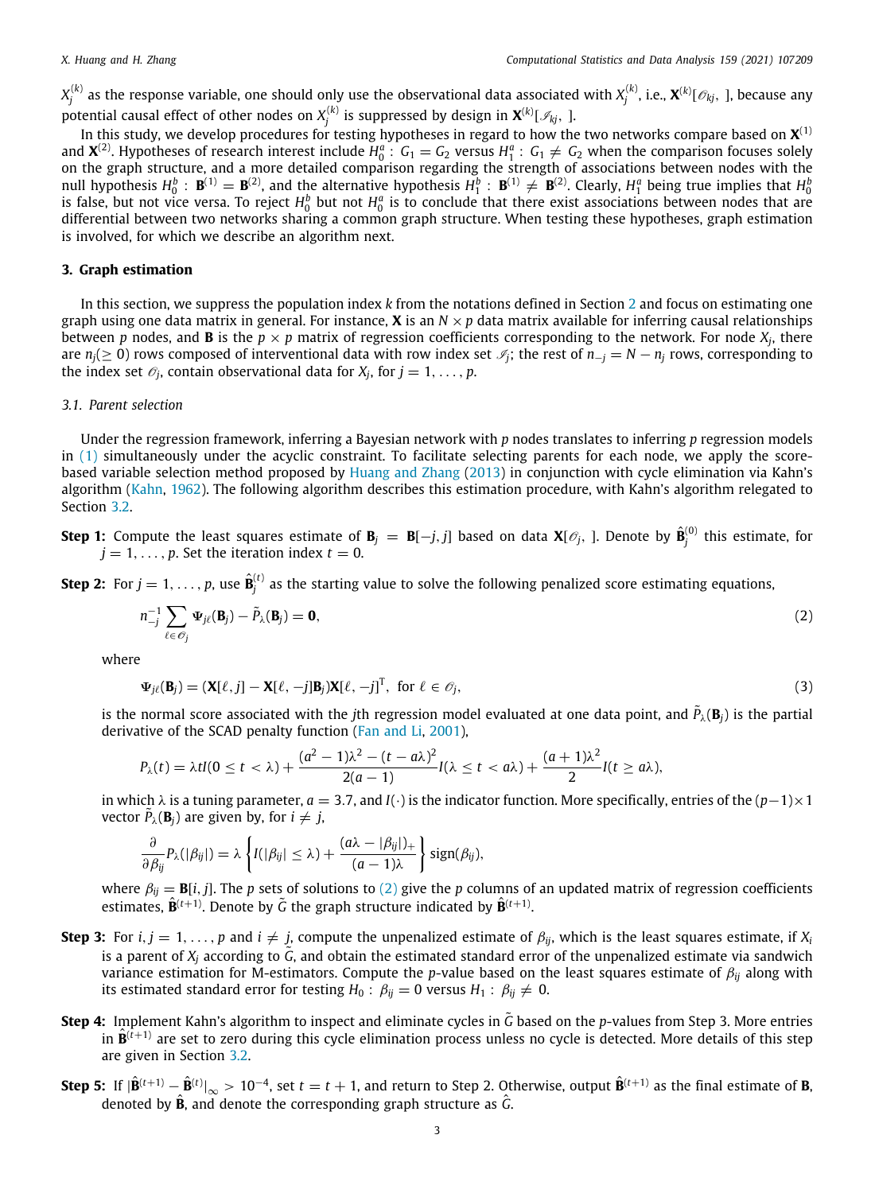$X_j^{(k)}$  as the response variable, one should only use the observational data associated with  $X_j^{(k)}$ , i.e.,  $\bm{X}^{(k)}[\mathscr{O}_{kj},~]$ , because any potential causal effect of other nodes on  $X_j^{(k)}$  is suppressed by design in  $\boldsymbol{X}^{(k)}[ \mathcal{I}_{kj},\; ]$ .

In this study, we develop procedures for testing hypotheses in regard to how the two networks compare based on  $\mathbf{X}^{(1)}$ and  $\mathbf{X}^{(2)}$ . Hypotheses of research interest include  $H_0^a$ :  $G_1 = G_2$  versus  $H_1^a$ :  $G_1 \neq G_2$  when the comparison focuses solely on the graph structure, and a more detailed comparison regarding the strength of associations between nodes with the null hypothesis  $H_0^b$ :  $\mathbf{B}^{(1)} = \mathbf{B}^{(2)}$ , and the alternative hypothesis  $H_1^b$ :  $\mathbf{B}^{(1)} \neq \mathbf{B}^{(2)}$ . Clearly,  $H_1^a$  being true implies that  $H_0^b$ is false, but not vice versa. To reject  $H_0^b$  but not  $H_0^a$  is to conclude that there exist associations between nodes that are differential between two networks sharing a common graph structure. When testing these hypotheses, graph estimation is involved, for which we describe an algorithm next.

# **3. Graph estimation**

<span id="page-2-0"></span>In this section, we suppress the population index *k* from the notations defined in Section [2](#page-1-0) and focus on estimating one graph using one data matrix in general. For instance, **X** is an  $N \times p$  data matrix available for inferring causal relationships between  $p$  nodes, and  $B$  is the  $p \times p$  matrix of regression coefficients corresponding to the network. For node  $X_j$ , there are  $n_j$ (≥ 0) rows composed of interventional data with row index set  $\mathcal{I}_j$ ; the rest of  $n_{-j} = N - n_j$  rows, corresponding to the index set  $\mathscr{O}_j$ , contain observational data for  $X_j$ , for  $j = 1, \ldots, p$ .

# *3.1. Parent selection*

<span id="page-2-2"></span>Under the regression framework, inferring a Bayesian network with *p* nodes translates to inferring *p* regression models in  $(1)$  $(1)$  simultaneously under the acyclic constraint. To facilitate selecting parents for each node, we apply the scorebased variable selection method proposed by [Huang and Zhang](#page-15-12) [\(2013](#page-15-12)) in conjunction with cycle elimination via Kahn's algorithm ([Kahn](#page-15-13), [1962](#page-15-13)). The following algorithm describes this estimation procedure, with Kahn's algorithm relegated to Section [3.2.](#page-3-0)

**Step 1:** Compute the least squares estimate of  $\mathbf{B}_j$   $=$   $\mathbf{B}[-j,j]$  based on data  $\mathbf{X}[\mathscr{O}_j]$ . Denote by  $\hat{\mathbf{B}}_j^{(0)}$  this estimate, for  $j = 1, \ldots, p$ . Set the iteration index  $t = 0$ .

**Step 2:** For  $j=1,\ldots,p$ , use  $\hat{\mathbf{B}}^{(t)}_j$  as the starting value to solve the following penalized score estimating equations,

<span id="page-2-1"></span>
$$
n_{-j}^{-1} \sum_{\ell \in \mathcal{O}_j} \Psi_{j\ell}(\mathbf{B}_j) - \tilde{P}_{\lambda}(\mathbf{B}_j) = \mathbf{0},\tag{2}
$$

where

$$
\Psi_{j\ell}(\mathbf{B}_j) = (\mathbf{X}[\ell,j] - \mathbf{X}[\ell,-j]\mathbf{B}_j)\mathbf{X}[\ell,-j]^T, \text{ for } \ell \in \mathcal{O}_j,
$$
\n(3)

is the normal score associated with the *j*th regression model evaluated at one data point, and  $\tilde{P}_\lambda({\bf B}_j)$  is the partial derivative of the SCAD penalty function ([Fan and Li,](#page-15-14) [2001\)](#page-15-14),

$$
P_{\lambda}(t) = \lambda t I(0 \leq t < \lambda) + \frac{(a^2 - 1)\lambda^2 - (t - a\lambda)^2}{2(a - 1)}I(\lambda \leq t < a\lambda) + \frac{(a + 1)\lambda^2}{2}I(t \geq a\lambda),
$$

in which  $\lambda$  is a tuning parameter,  $a = 3.7$ , and  $I(\cdot)$  is the indicator function. More specifically, entries of the  $(p-1)\times 1$ vector  $\tilde{P}_\lambda(\mathbf{B}_j)$  are given by, for  $i \neq j$ ,

$$
\frac{\partial}{\partial \beta_{ij}} P_{\lambda}(|\beta_{ij}|) = \lambda \left\{ I(|\beta_{ij}| \leq \lambda) + \frac{(a\lambda - |\beta_{ij}|)_+}{(a-1)\lambda} \right\} \text{sign}(\beta_{ij}),
$$

where  $\beta_{ij} = \mathbf{B}[i, j]$ . The *p* sets of solutions to [\(2](#page-2-1)) give the *p* columns of an updated matrix of regression coefficients estimates,  $\hat{\mathbf{B}}^{(t+1)}$ . Denote by  $\tilde{G}$  the graph structure indicated by  $\hat{\mathbf{B}}^{(t+1)}$ .

- **Step 3:** For *i*,  $j = 1, \ldots, p$  and  $i \neq j$ , compute the unpenalized estimate of  $\beta_{ij}$ , which is the least squares estimate, if  $X_i$ is a parent of  $X_i$  according to  $\tilde{G}$ , and obtain the estimated standard error of the unpenalized estimate via sandwich variance estimation for M-estimators. Compute the *p*-value based on the least squares estimate of β*ij* along with its estimated standard error for testing  $H_0$ :  $\beta_{ij} = 0$  versus  $H_1$ :  $\beta_{ij} \neq 0$ .
- **Step 4:** Implement Kahn's algorithm to inspect and eliminate cycles in  $\tilde{G}$  based on the *p*-values from Step 3. More entries in  $\hat{\mathbf{B}}^{(t+1)}$  are set to zero during this cycle elimination process unless no cycle is detected. More details of this step are given in Section [3.2](#page-3-0).
- **Step 5:** If  $|\hat{\mathbf{B}}^{(t+1)} \hat{\mathbf{B}}^{(t)}|_{\infty} > 10^{-4}$ , set  $t = t + 1$ , and return to Step 2. Otherwise, output  $\hat{\mathbf{B}}^{(t+1)}$  as the final estimate of **B**, denoted by **<sup>B</sup>**ˆ, and denote the corresponding graph structure as *<sup>G</sup>*ˆ.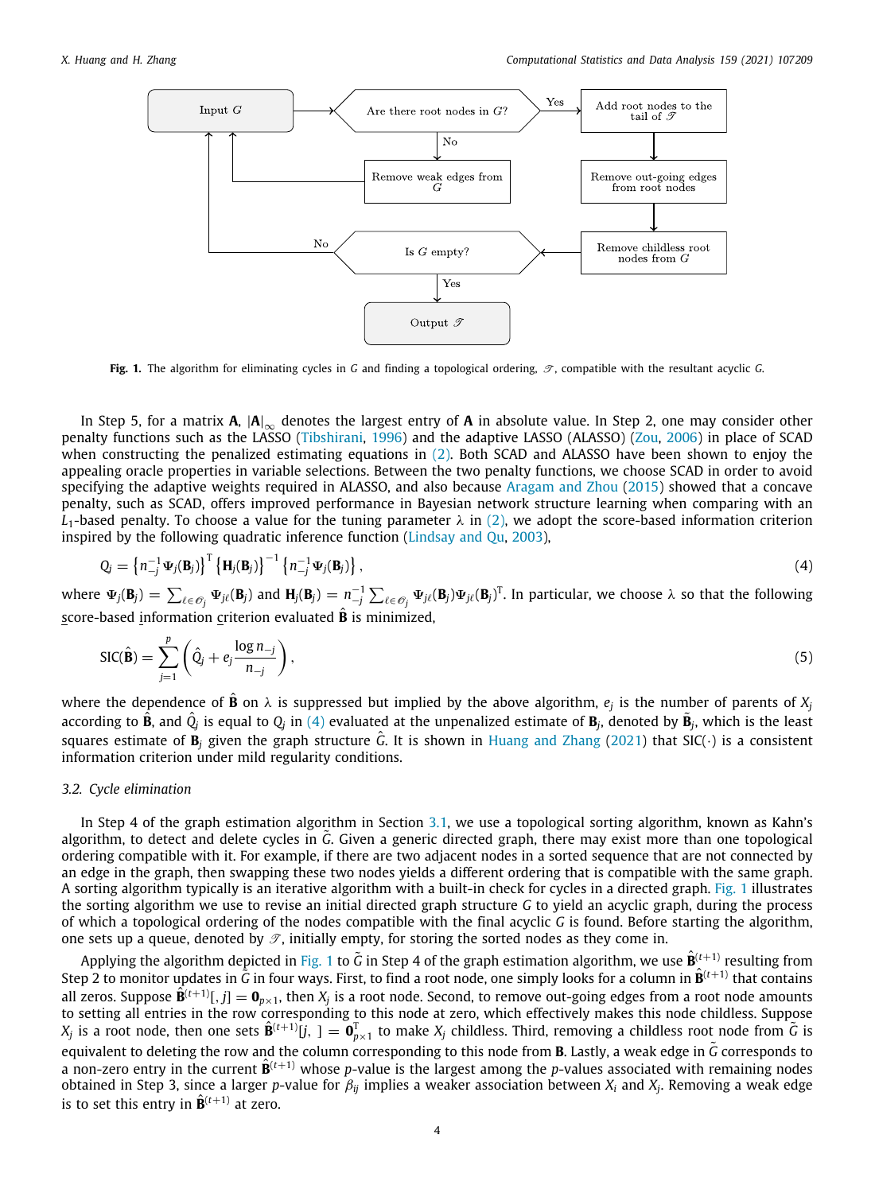

<span id="page-3-2"></span>**Fig. 1.** The algorithm for eliminating cycles in *G* and finding a topological ordering,  $\mathcal{T}$ , compatible with the resultant acyclic *G*.

In Step 5, for a matrix  $A$ ,  $|A|_{\infty}$  denotes the largest entry of  $A$  in absolute value. In Step 2, one may consider other penalty functions such as the LASSO ([Tibshirani,](#page-16-8) [1996](#page-16-8)) and the adaptive LASSO (ALASSO) [\(Zou,](#page-16-9) [2006](#page-16-9)) in place of SCAD when constructing the penalized estimating equations in [\(2](#page-2-1)). Both SCAD and ALASSO have been shown to enjoy the appealing oracle properties in variable selections. Between the two penalty functions, we choose SCAD in order to avoid specifying the adaptive weights required in ALASSO, and also because [Aragam and Zhou](#page-15-15) ([2015](#page-15-15)) showed that a concave penalty, such as SCAD, offers improved performance in Bayesian network structure learning when comparing with an  $L_1$ -based penalty. To choose a value for the tuning parameter  $\lambda$  in [\(2](#page-2-1)), we adopt the score-based information criterion inspired by the following quadratic inference function [\(Lindsay and Qu](#page-15-16), [2003\)](#page-15-16),

$$
Q_j = \left\{ n_{-j}^{-1} \Psi_j(\mathbf{B}_j) \right\}^{\mathrm{T}} \left\{ \mathbf{H}_j(\mathbf{B}_j) \right\}^{-1} \left\{ n_{-j}^{-1} \Psi_j(\mathbf{B}_j) \right\},\tag{4}
$$

where  $\Psi_j({\bf B}_j) = \sum_{\ell \in \mathscr{O}_j} \Psi_{j\ell}({\bf B}_j)$  and  ${\bf H}_j({\bf B}_j) = n_{-j}^{-1} \sum_{\ell \in \mathscr{O}_j} \Psi_{j\ell}({\bf B}_j) \Psi_{j\ell}({\bf B}_j)^{\rm T}$ . In particular, we choose  $\lambda$  so that the following score-based information criterion evaluated **B** is minimized,

<span id="page-3-1"></span>
$$
SIC(\hat{\mathbf{B}}) = \sum_{j=1}^{p} \left( \hat{Q}_j + e_j \frac{\log n_{-j}}{n_{-j}} \right),\tag{5}
$$

where the dependence of  $\hat{\bf B}$  on  $\lambda$  is suppressed but implied by the above algorithm,  $e_j$  is the number of parents of  $X_j$ according to  $\hat{\bf B}$ , and  $\hat{Q}_j$  is equal to  $Q_j$  in [\(4\)](#page-3-1) evaluated at the unpenalized estimate of  ${\bf B}_j$ , denoted by  $\tilde{\bf B}_j$ , which is the least squares estimate of  $\bar{B}_i$  given the graph structure  $\hat{G}$ . It is shown in [Huang and Zhang](#page-15-17) [\(2021\)](#page-15-17) that SIC( $\cdot$ ) is a consistent information criterion under mild regularity conditions.

#### *3.2. Cycle elimination*

<span id="page-3-0"></span>In Step 4 of the graph estimation algorithm in Section [3.1](#page-2-2), we use a topological sorting algorithm, known as Kahn's algorithm, to detect and delete cycles in *<sup>G</sup>*˜. Given a generic directed graph, there may exist more than one topological ordering compatible with it. For example, if there are two adjacent nodes in a sorted sequence that are not connected by an edge in the graph, then swapping these two nodes yields a different ordering that is compatible with the same graph. A sorting algorithm typically is an iterative algorithm with a built-in check for cycles in a directed graph. [Fig.](#page-3-2) [1](#page-3-2) illustrates the sorting algorithm we use to revise an initial directed graph structure *G* to yield an acyclic graph, during the process of which a topological ordering of the nodes compatible with the final acyclic *G* is found. Before starting the algorithm, one sets up a queue, denoted by  $\mathcal{T}$ , initially empty, for storing the sorted nodes as they come in.

Applying the algorithm depicted in [Fig.](#page-3-2) [1](#page-3-2) to  $\tilde{G}$  in Step 4 of the graph estimation algorithm, we use  $\hat{B}^{(t+1)}$  resulting from Step 2 to monitor updates in  $\tilde{G}$  in four ways. First, to find a root node, one simply looks for a column in  $\hat{B}^{(t+1)}$  that contains all zeros. Suppose  $\hat{B}^{(t+1)}[,j]=\mathbf{0}_{p\times 1}$ , then  $X_j$  is a root node. Second, to remove out-going edges from a root node amounts to setting all entries in the row corresponding to this node at zero, which effectively makes this node childless. Suppose  $X_j$  is a root node, then one sets  $\hat{\bf B}^{(t+1)}[j,\;]=\hat{\bf 0}^{\rm T}_{p\times 1}$  to make  $X_j$  childless. Third, removing a childless root node from  $\tilde{G}$  is equivalent to deleting the row and the column corresponding to this node from **<sup>B</sup>**. Lastly, a weak edge in *<sup>G</sup>*˜ corresponds to a non-zero entry in the current  $\hat{\mathbf{B}}^{(t+1)}$  whose *p*-value is the largest among the *p*-values associated with remaining nodes obtained in Step 3, since a larger *p*-value for β*ij* implies a weaker association between *X<sup>i</sup>* and *X<sup>j</sup>* . Removing a weak edge is to set this entry in  $\hat{\mathbf{B}}^{(t+1)}$  at zero.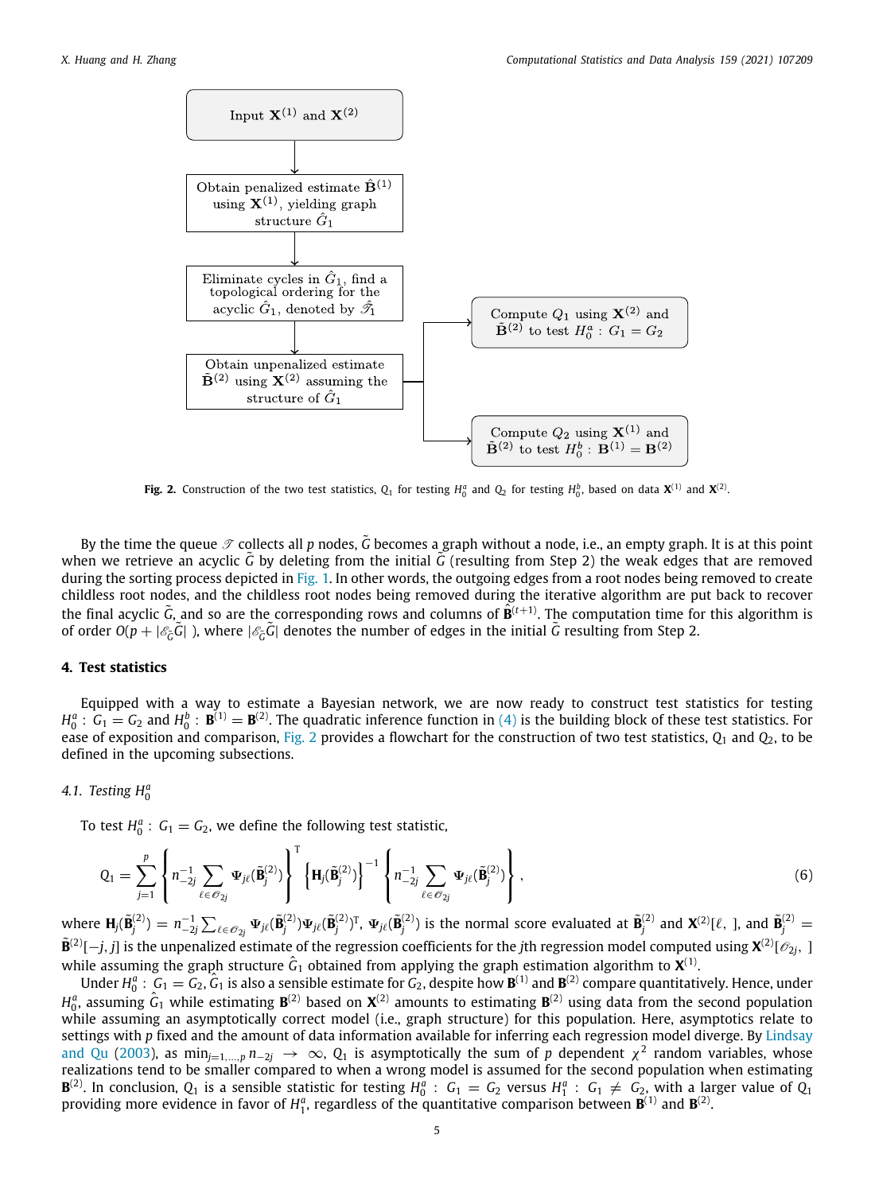

**Fig. 2.** Construction of the two test statistics,  $Q_1$  for testing  $H_0^a$  and  $Q_2$  for testing  $H_0^b$ , based on data  $\mathbf{X}^{(1)}$  and  $\mathbf{X}^{(2)}$ .

<span id="page-4-1"></span>By the time the queue  $\mathscr{T}$  collects all *p* nodes, G becomes a graph without a node, i.e., an empty graph. It is at this point when we retrieve an acyclic  $\tilde{G}$  by deleting from the initial  $\tilde{G}$  (resulting from Step 2) the weak edges that are removed during the sorting process depicted in [Fig.](#page-3-2) [1.](#page-3-2) In other words, the outgoing edges from a root nodes being removed to create childless root nodes, and the childless root nodes being removed during the iterative algorithm are put back to recover the final acyclic  $\tilde{G}$ , and so are the corresponding rows and columns of  $\hat{B}^{(t+1)}$ . The computation time for this algorithm is of order  $O(p + |\mathscr{E}_c\tilde{G}|)$ , where  $|\mathscr{E}_c\tilde{G}|$  denotes the number of edges in the initial  $\tilde{G}$  resulting from Step 2.

### **4. Test statistics**

<span id="page-4-0"></span>Equipped with a way to estimate a Bayesian network, we are now ready to construct test statistics for testing  $H_0^a$ :  $G_1 = G_2$  and  $H_0^b$ :  $\mathbf{B}^{(1)} = \mathbf{B}^{(2)}$ . The quadratic inference function in ([4](#page-3-1)) is the building block of these test statistics. For ease of exposition and comparison, [Fig.](#page-4-1) [2](#page-4-1) provides a flowchart for the construction of two test statistics, *Q*<sup>1</sup> and *Q*2, to be defined in the upcoming subsections.

# *4.1. Testing H<sup>a</sup>* 0

To test  $H_0^a$ :  $G_1 = G_2$ , we define the following test statistic,

<span id="page-4-2"></span>
$$
Q_1 = \sum_{j=1}^p \left\{ n_{-2j}^{-1} \sum_{\ell \in \mathcal{O}_{2j}} \Psi_{j\ell}(\tilde{\mathbf{B}}_j^{(2)}) \right\}^{\mathrm{T}} \left\{ \mathbf{H}_j(\tilde{\mathbf{B}}_j^{(2)}) \right\}^{-1} \left\{ n_{-2j}^{-1} \sum_{\ell \in \mathcal{O}_{2j}} \Psi_{j\ell}(\tilde{\mathbf{B}}_j^{(2)}) \right\},\tag{6}
$$

where  $\mathbf{H}_j(\tilde{\mathbf{B}}_j^{(2)})=n_{-2j}^{-1}\sum_{\ell\in\mathscr{O}_{2j}}\Psi_{j\ell}(\tilde{\mathbf{B}}_j^{(2)})\Psi_{j\ell}(\tilde{\mathbf{B}}_j^{(2)})^{\text{T}},~\Psi_{j\ell}(\tilde{\mathbf{B}}_j^{(2)})~\text{is the normal score evaluated at}~\tilde{\mathbf{B}}_j^{(2)}~\text{and}~\mathbf{X}^{(2)}[\ell,~],~\text{and}~\tilde{\mathbf{B}}_j^{(2)}=n_{-2j}^{-1}\sum_{\ell\in\mathscr{O}_{2j$  $\tilde{\bf B}^{(2)}[-j,j]$  is the unpenalized estimate of the regression coefficients for the *j*th regression model computed using  ${\bf X}^{(2)}[\mathscr{O}_{2j},\;1]$ while assuming the graph structure  $\hat G_1$  obtained from applying the graph estimation algorithm to  $\mathbf{X}^{(1)}$ .

Under  $H_0^a$ :  $G_1 = G_2$ ,  $G_1$  is also a sensible estimate for  $G_2$ , despite how  $B^{(1)}$  and  $B^{(2)}$  compare quantitatively. Hence, under  $H_0^a$ , assuming  $\hat G_1$  while estimating  $\mathbf{B}^{(2)}$  based on  $\mathbf{X}^{(2)}$  amounts to estimating  $\mathbf{B}^{(2)}$  using data from the second population while assuming an asymptotically correct model (i.e., graph structure) for this population. Here, asymptotics relate to settings with *p* fixed and the amount of data information available for inferring each regression model diverge. By [Lindsay](#page-15-16) [and Qu](#page-15-16) [\(2003\)](#page-15-16), as  $\min_{j=1,...,p} n_{-2j} \to \infty$ ,  $Q_1$  is asymptotically the sum of  $p$  dependent  $\chi^2$  random variables, whose realizations tend to be smaller compared to when a wrong model is assumed for the second population when estimating  ${\bf B}^{(2)}$ . In conclusion,  $Q_1$  is a sensible statistic for testing  $H_0^a$  :  $G_1 = G_2$  versus  $H_1^a$  :  $G_1 \neq G_2$ , with a larger value of  $Q_1$ providing more evidence in favor of  $H_1^a$ , regardless of the quantitative comparison between  $\mathbf{B}^{(1)}$  and  $\mathbf{B}^{(2)}$ .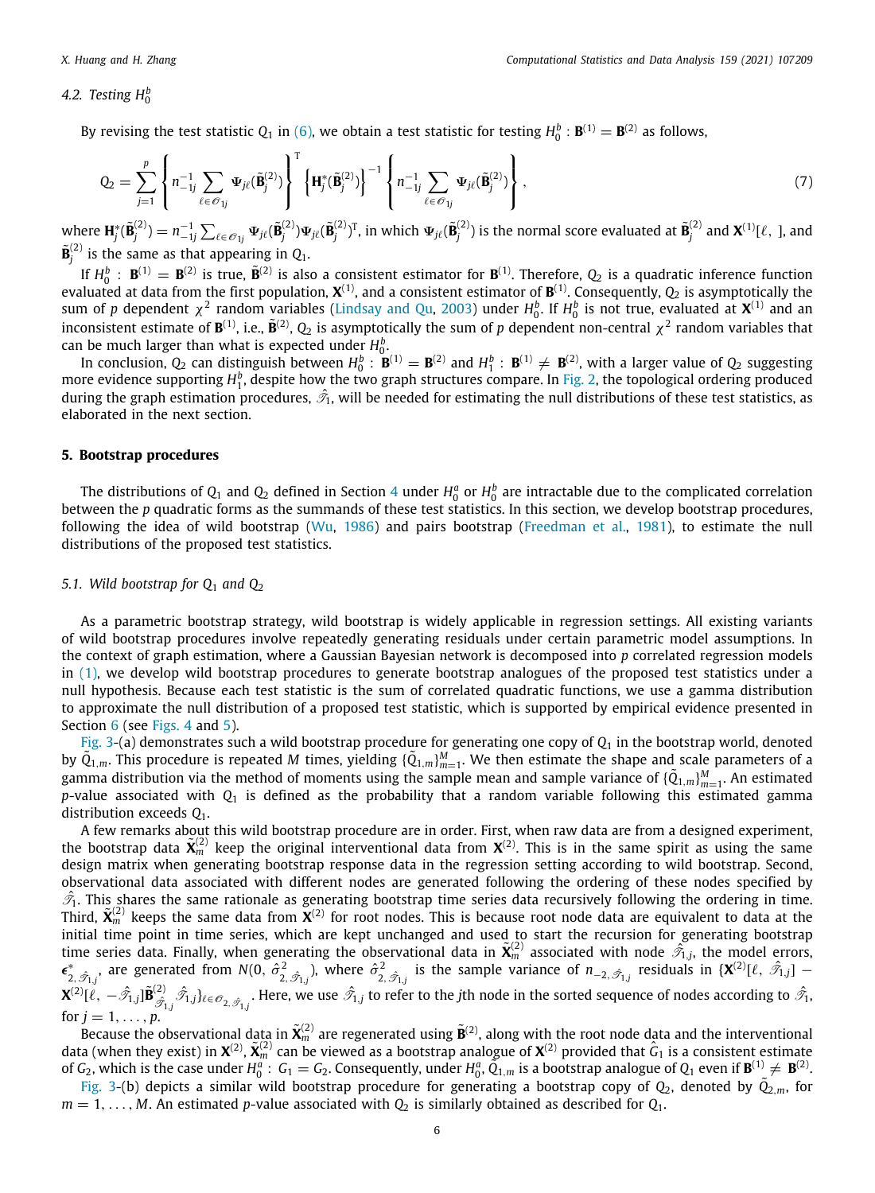# *4.2. Testing H<sup>b</sup>* 0

By revising the test statistic  $Q_1$  in [\(6](#page-4-2)), we obtain a test statistic for testing  $H_0^b : B^{(1)} = B^{(2)}$  as follows,

$$
Q_2 = \sum_{j=1}^p \left\{ n_{-1j}^{-1} \sum_{\ell \in \mathcal{O}_{1j}} \Psi_{j\ell}(\tilde{\mathbf{B}}_j^{(2)}) \right\}^{\mathrm{T}} \left\{ \mathbf{H}_j^*(\tilde{\mathbf{B}}_j^{(2)}) \right\}^{-1} \left\{ n_{-1j}^{-1} \sum_{\ell \in \mathcal{O}_{1j}} \Psi_{j\ell}(\tilde{\mathbf{B}}_j^{(2)}) \right\},\tag{7}
$$

where  $\mathbf{H}_{j}^{*}(\tilde{\mathbf{B}}_{j}^{(2)})=n_{-1j}^{-1}\sum_{\ell\in\mathscr{O}_{1j}}\mathbf{\Psi}_{j\ell}(\tilde{\mathbf{B}}_{j}^{(2)})\mathbf{\Psi}_{j\ell}(\tilde{\mathbf{B}}_{j}^{(2)})^{\textsf{T}}$ , in which  $\mathbf{\Psi}_{j\ell}(\tilde{\mathbf{B}}_{j}^{(2)})$  is the normal score evaluated at  $\tilde{\mathbf{B}}_{j}^{(2)}$  and  $\mathbf{X}$  $\tilde{\mathbf{B}}_{j}^{(2)}$  is the same as that appearing in  $Q_1$ .

If  $H_0^b$  :  $\mathbf{B}^{(1)} = \mathbf{B}^{(2)}$  is true,  $\tilde{\mathbf{B}}^{(2)}$  is also a consistent estimator for  $\mathbf{B}^{(1)}$ . Therefore,  $Q_2$  is a quadratic inference function evaluated at data from the first population,  $X^{(1)}$ , and a consistent estimator of  $B^{(1)}$ . Consequently,  $Q_2$  is asymptotically the sum of  $p$  dependent  $\chi^2$  random variables ([Lindsay and Qu](#page-15-16), [2003\)](#page-15-16) under  $H_0^b$ . If  $H_0^b$  is not true, evaluated at  $\mathbf{X}^{(1)}$  and an inconsistent estimate of  $B^{(1)}$ , i.e.,  $\tilde{B}^{(2)}$ ,  $Q_2$  is asymptotically the sum of *p* dependent non-central  $\chi^2$  random variables that can be much larger than what is expected under  $H_0^b$ .

In conclusion,  $Q_2$  can distinguish between  $H_0^b$ :  $\mathbf{B}^{(1)} = \mathbf{B}^{(2)}$  and  $H_1^b$ :  $\mathbf{B}^{(1)} \neq \mathbf{B}^{(2)}$ , with a larger value of  $Q_2$  suggesting more evidence supporting  $H_1^b$ , despite how the two graph structures compare. In [Fig.](#page-4-1) [2,](#page-4-1) the topological ordering produced during the graph estimation procedures,  $\hat{\mathscr{T}}_1$ , will be needed for estimating the null distributions of these test statistics, as elaborated in the next section.

#### **5. Bootstrap procedures**

<span id="page-5-0"></span>The distributions of  $Q_1$  and  $Q_2$  defined in Section [4](#page-4-0) under  $H_0^a$  or  $H_0^b$  are intractable due to the complicated correlation between the *p* quadratic forms as the summands of these test statistics. In this section, we develop bootstrap procedures, following the idea of wild bootstrap ([Wu](#page-16-10), [1986\)](#page-16-10) and pairs bootstrap [\(Freedman et al.,](#page-15-18) [1981](#page-15-18)), to estimate the null distributions of the proposed test statistics.

#### *5.1. Wild bootstrap for Q*<sup>1</sup> *and Q*<sup>2</sup>

<span id="page-5-1"></span>As a parametric bootstrap strategy, wild bootstrap is widely applicable in regression settings. All existing variants of wild bootstrap procedures involve repeatedly generating residuals under certain parametric model assumptions. In the context of graph estimation, where a Gaussian Bayesian network is decomposed into *p* correlated regression models in ([1](#page-1-1)), we develop wild bootstrap procedures to generate bootstrap analogues of the proposed test statistics under a null hypothesis. Because each test statistic is the sum of correlated quadratic functions, we use a gamma distribution to approximate the null distribution of a proposed test statistic, which is supported by empirical evidence presented in Section [6](#page-9-0) (see [Figs.](#page-7-0) [4](#page-7-0) and [5\)](#page-7-1).

[Fig.](#page-6-0) [3-](#page-6-0)(a) demonstrates such a wild bootstrap procedure for generating one copy of  $Q_1$  in the bootstrap world, denoted by  $\tilde{Q}_{1,m}$ . This procedure is repeated *M* times, yielding  $\{\tilde{Q}_{1,m}\}_{m=1}^M$ . We then estimate the shape and scale parameters of a gamma distribution via the method of moments using the sample mean and sample variance of  $\{\tilde{Q}_{1,m}\}_{m=1}^M$ . An estimated *p*-value associated with *Q*<sup>1</sup> is defined as the probability that a random variable following this estimated gamma distribution exceeds *Q*1.

A few remarks about this wild bootstrap procedure are in order. First, when raw data are from a designed experiment, the bootstrap data  $\tilde{\mathbf{X}}_m^{(2)}$  keep the original interventional data from  $\mathbf{X}^{(2)}$ . This is in the same spirit as using the same design matrix when generating bootstrap response data in the regression setting according to wild bootstrap. Second, observational data associated with different nodes are generated following the ordering of these nodes specified by  $\hat{\mathcal{T}}_1$ . This shares the same rationale as generating bootstrap time series data recursively following the ordering in time. Third,  $\tilde{\mathbf{X}}^{(2)}$  keeps the same data from  $\tilde{\mathbf{X}}^{(2)}$  for root nodes. This is because root node data are equivalent to data at the initial time point in time series, which are kept unchanged and used to start the recursion for generating bootstrap time series data. Finally, when generating the observational data in  $\tilde{\mathbf{X}}_m^{(2)}$  associated with node  $\hat{\mathcal{T}}_{1,j}$ , the model errors,  $\epsilon_{2,\hat{\mathscr{T}}_{1,j}}^*$ , are generated from  $N(0, \hat{\sigma}_{2,\hat{\mathscr{T}}_{1,j}}^2)$ , where  $\hat{\sigma}_{2,\hat{\mathscr{T}}_{1,j}}^2$  is the sample variance of  $n_{-2,\hat{\mathscr{T}}_{1,j}}$  residuals in  $\{X^{(2)}[\ell, \hat{\mathscr{T}}_{1,j}]$  –  $\mathbf{X}^{(2)}[\widetilde{\ell},-\hat{\mathscr{T}}_{1,j}]\widetilde{\mathbf{B}}^{(2)}_{\widehat{\mathscr{T}}_{1,j}}\hat{\mathscr{T}}_{1,j}$  }. Here, we use  $\hat{\mathscr{T}}_{1,j}$  to refer to the *j*th node in the sorted sequence of nodes according to  $\hat{\mathscr{T}}_{1,j}$ for  $j = 1, ..., p$ .

because the observational data in  $\tilde{\bm X}_m^{(2)}$  are regenerated using  $\tilde{\bm B}^{(2)}$ , along with the root node data and the interventional data (when they exist) in  $X^{(2)}$ ,  $\tilde X_m^{(2)}$  can be viewed as a bootstrap analogue of  $X^{(2)}$  provided that  $\hat G_1$  is a consistent estimate of  $G_2$ , which is the case under  $H_0^a$ :  $G_1 = G_2$ . Consequently, under  $H_0^a$ ,  $\tilde{Q}_{1,m}$  is a bootstrap analogue of  $Q_1$  even if  $\mathbf{B}^{(1)} \neq \mathbf{B}^{(2)}$ .

[Fig.](#page-6-0) [3](#page-6-0)-(b) depicts a similar wild bootstrap procedure for generating a bootstrap copy of  $Q_2$ , denoted by  $\tilde{Q}_{2,m}$ , for  $m = 1, \ldots, M$ . An estimated *p*-value associated with  $Q_2$  is similarly obtained as described for  $Q_1$ .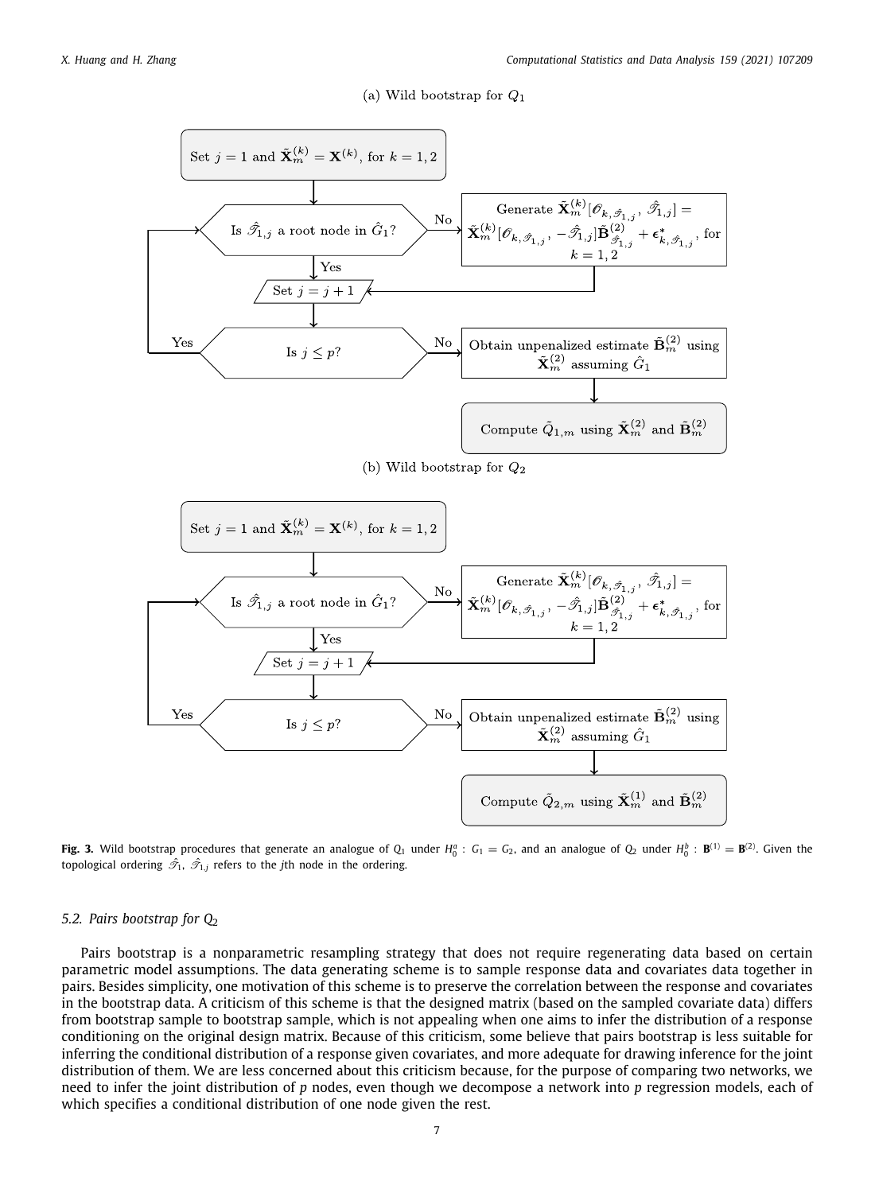(a) Wild bootstrap for  $Q_1$ 



<span id="page-6-0"></span>**Fig. 3.** Wild bootstrap procedures that generate an analogue of  $Q_1$  under  $H_0^a$  :  $G_1 = G_2$ , and an analogue of  $Q_2$  under  $H_0^b$  :  $\mathbf{B}^{(1)} = \mathbf{B}^{(2)}$ . Given the topological ordering  $\hat{\mathcal{T}}_1$ ,  $\hat{\mathcal{T}}_{1,j}$  refers to the *j*th node in the ordering.

### *5.2. Pairs bootstrap for Q*<sup>2</sup>

Pairs bootstrap is a nonparametric resampling strategy that does not require regenerating data based on certain parametric model assumptions. The data generating scheme is to sample response data and covariates data together in pairs. Besides simplicity, one motivation of this scheme is to preserve the correlation between the response and covariates in the bootstrap data. A criticism of this scheme is that the designed matrix (based on the sampled covariate data) differs from bootstrap sample to bootstrap sample, which is not appealing when one aims to infer the distribution of a response conditioning on the original design matrix. Because of this criticism, some believe that pairs bootstrap is less suitable for inferring the conditional distribution of a response given covariates, and more adequate for drawing inference for the joint distribution of them. We are less concerned about this criticism because, for the purpose of comparing two networks, we need to infer the joint distribution of *p* nodes, even though we decompose a network into *p* regression models, each of which specifies a conditional distribution of one node given the rest.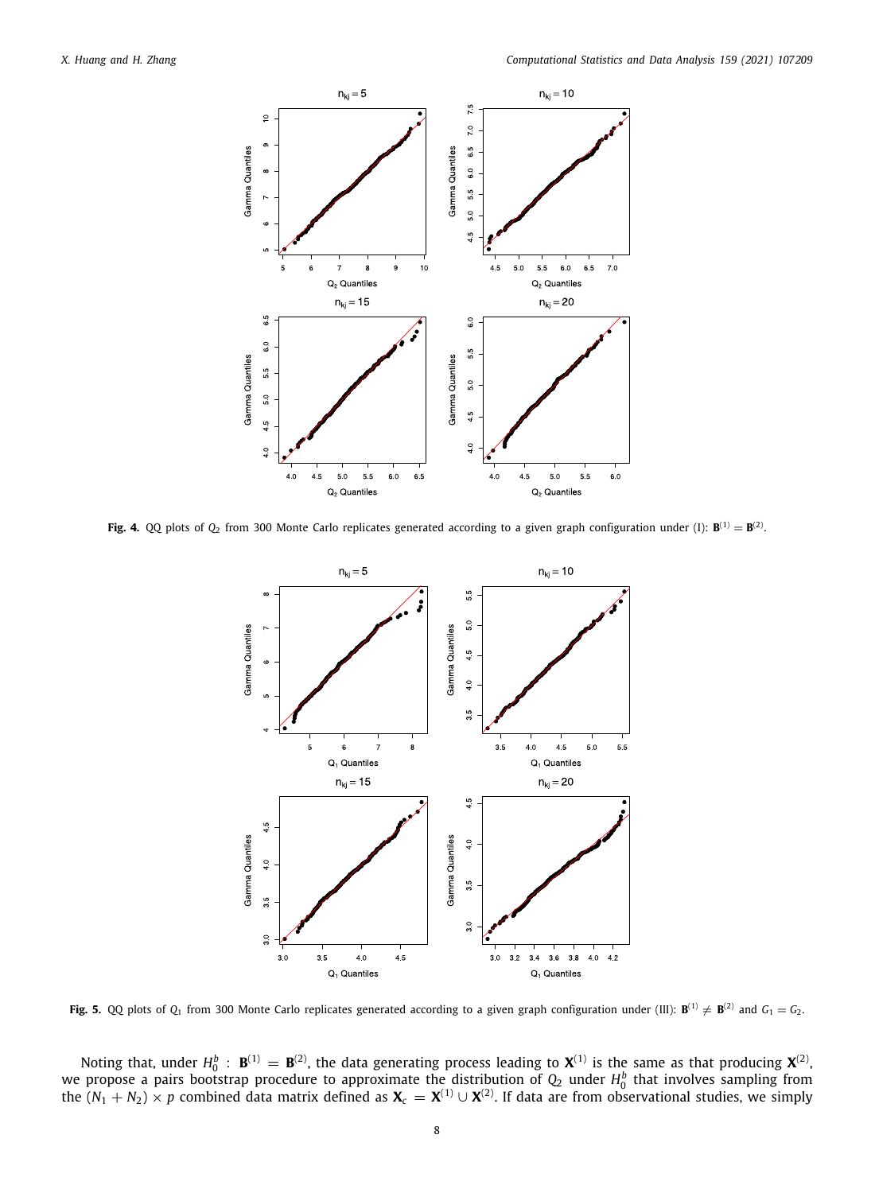

<span id="page-7-0"></span>**Fig. 4.** QQ plots of  $Q_2$  from 300 Monte Carlo replicates generated according to a given graph configuration under (I):  $B^{(1)} = B^{(2)}$ .



<span id="page-7-1"></span>**Fig. 5.** QQ plots of  $Q_1$  from 300 Monte Carlo replicates generated according to a given graph configuration under (III):  $\mathbf{B}^{(1)} \neq \mathbf{B}^{(2)}$  and  $G_1 = G_2$ .

Noting that, under  $H_0^b$  :  $\mathbf{B}^{(1)} = \mathbf{B}^{(2)}$ , the data generating process leading to  $\mathbf{X}^{(1)}$  is the same as that producing  $\mathbf{X}^{(2)}$ , we propose a pairs bootstrap procedure to approximate the distribution of  $Q_2$  under  $H_0^b$  that involves sampling from the  $(N_1+N_2)\times p$  combined data matrix defined as  $\bm{X}_c=\bm{X}^{(1)}\cup\bm{X}^{(2)}.$  If data are from observational studies, we simply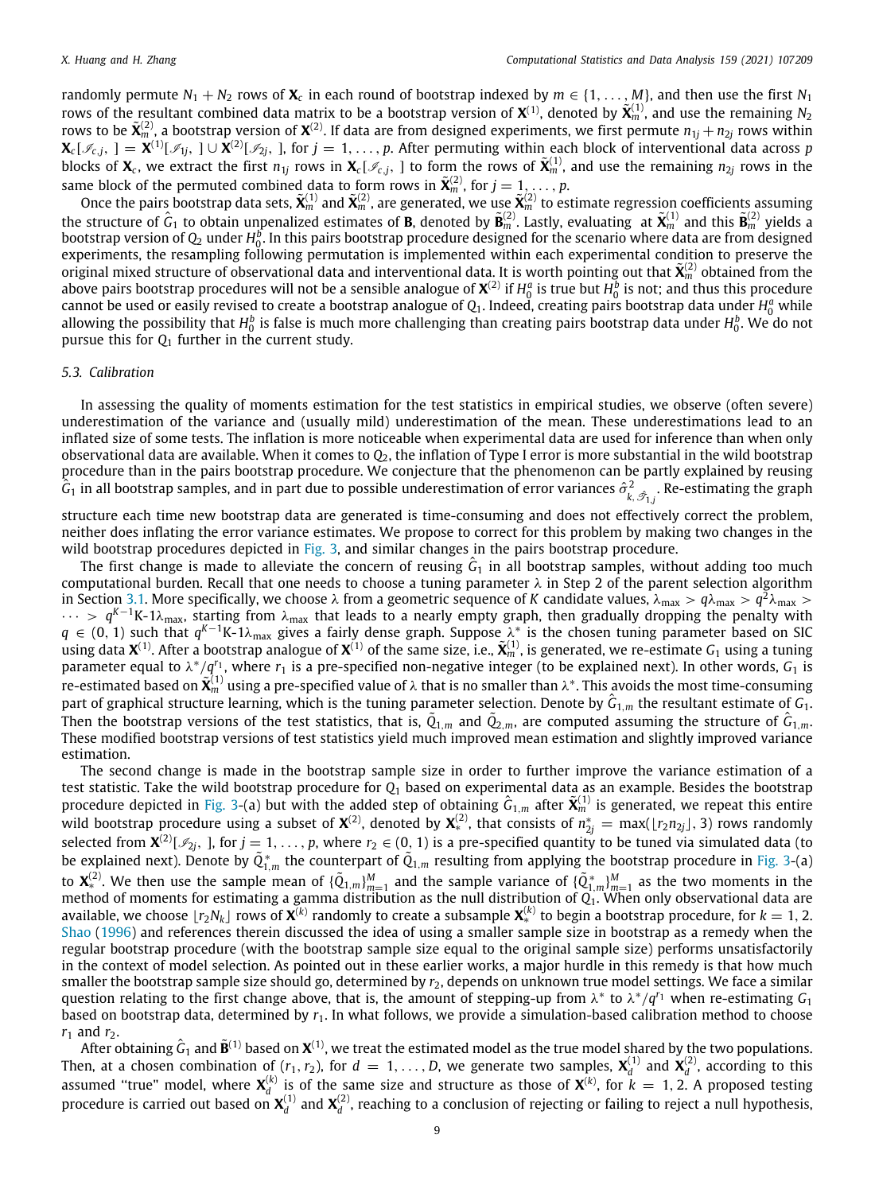randomly permute  $N_1 + N_2$  rows of  $X_c$  in each round of bootstrap indexed by  $m \in \{1, \ldots, M\}$ , and then use the first  $N_1$ rows of the resultant combined data matrix to be a bootstrap version of  $X^{(1)}$ , denoted by  $\tilde{X}^{(1)}_m$ , and use the remaining  $N_2$ rows to be  $\tilde{\bf X}_m^{(2)}$ , a bootstrap version of  ${\bf X}^{(2)}$ . If data are from designed experiments, we first permute  $n_{1j}+n_{2j}$  rows within  $\mathbf{X}_c[\mathscr{I}_{c,j},\ ] = \mathbf{X}^{(1)}[\mathscr{I}_{1j},\ ]\cup\mathbf{X}^{(2)}[\mathscr{I}_{2j},\ ]$ , for  $j=1,\ldots,p.$  After permuting within each block of interventional data across  $p$ blocks of  $X_c$ , we extract the first  $n_{1j}$  rows in  $X_c[\mathcal{I}_{c,j}]$  to form the rows of  $\tilde{X}_m^{(1)}$ , and use the remaining  $n_{2j}$  rows in the same block of the permuted combined data to form rows in  $\tilde{\mathbf{X}}_m^{(2)}$ , for  $j = 1, \ldots, p$ .

Once the pairs bootstrap data sets,  $\tilde{\mathbf{X}}_m^{(1)}$  and  $\tilde{\mathbf{X}}_m^{(2)}$ , are generated, we use  $\tilde{\mathbf{X}}_m^{(2)}$  to estimate regression coefficients assuming the structure of  $\hat{G}_1$  to obtain unpenalized estimates o bootstrap version of  $Q_2$  under  $H_0^b$ . In this pairs bootstrap procedure designed for the scenario where data are from designed experiments, the resampling following permutation is implemented within each experimental condition to preserve the original mixed structure of observational data and interventional data. It is worth pointing out that **<sup>X</sup>**˜ (2) *<sup>m</sup>* obtained from the above pairs bootstrap procedures will not be a sensible analogue of  $X^{(2)}$  if  $H_0^a$  is true but  $H_0^b$  is not; and thus this procedure cannot be used or easily revised to create a bootstrap analogue of  $Q_1$ . Indeed, creating pairs bootstrap data under  $H_0^a$  while allowing the possibility that  $H_0^b$  is false is much more challenging than creating pairs bootstrap data under  $H_0^b$ . We do not pursue this for *Q*<sup>1</sup> further in the current study.

# *5.3. Calibration*

<span id="page-8-0"></span>In assessing the quality of moments estimation for the test statistics in empirical studies, we observe (often severe) underestimation of the variance and (usually mild) underestimation of the mean. These underestimations lead to an inflated size of some tests. The inflation is more noticeable when experimental data are used for inference than when only observational data are available. When it comes to *Q*2, the inflation of Type I error is more substantial in the wild bootstrap procedure than in the pairs bootstrap procedure. We conjecture that the phenomenon can be partly explained by reusing  $\hat G_1$  in all bootstrap samples, and in part due to possible underestimation of error variances  $\hat\sigma^2_{k, \hat\sigma_{1,j}}$ . Re-estimating the graph

structure each time new bootstrap data are generated is time-consuming and does not effectively correct the problem, neither does inflating the error variance estimates. We propose to correct for this problem by making two changes in the wild bootstrap procedures depicted in [Fig.](#page-6-0) [3,](#page-6-0) and similar changes in the pairs bootstrap procedure.

The first change is made to alleviate the concern of reusing  $\hat{G}_1$  in all bootstrap samples, without adding too much computational burden. Recall that one needs to choose a tuning parameter  $\lambda$  in Step 2 of the parent selection algorithm in Section [3.1](#page-2-2). More specifically, we choose λ from a geometric sequence of *K* candidate values, λ<sub>max</sub> >  $q$ λ<sub>max</sub> >  $q^2$ λ<sub>max</sub> >  $\cdots$  > q<sup>K-1</sup>K-1λ<sub>max</sub>, starting from λ<sub>max</sub> that leads to a nearly empty graph, then gradually dropping the penalty with *q* ∈ (0, 1) such that *q*<sup>*K*-1</sup>K-1λ<sub>max</sub> gives a fairly dense graph. Suppose λ\* is the chosen tuning parameter based on SIC  $\lim_{\alpha \to \infty} \frac{1}{n}$  and  $X^{(1)}$ . After a bootstrap analogue of  $X^{(1)}$  of the same size, i.e.,  $\tilde{X}_m^{(1)}$ , is generated, we re-estimate  $G_1$  using a tuning parameter equal to  $\lambda^*/q^{r_1}$ , where  $r_1$  is a pre-specified non-negative integer (to be explained next). In other words,  $G_1$  is  $\tilde{\bf r}$ e-estimated based on  $\tilde{\bf X}_m^{(1)}$  using a pre-specified value of  $\lambda$  that is no smaller than  $\lambda^*$ . This avoids the most time-consuming part of graphical structure learning, which is the tuning parameter selection. Denote by  $\hat G_{1,m}$  the resultant estimate of  $G_1$ . Then the bootstrap versions of the test statistics, that is,  $\tilde{Q}_{1,m}$  and  $\tilde{Q}_{2,m}$ , are computed assuming the structure of  $\hat{G}_{1,m}$ . These modified bootstrap versions of test statistics yield much improved mean estimation and slightly improved variance estimation.

The second change is made in the bootstrap sample size in order to further improve the variance estimation of a test statistic. Take the wild bootstrap procedure for Q<sub>1</sub> based on experimental data as an example. Besides the bootstrap<br>procedure depicted in [Fig.](#page-6-0) [3](#page-6-0)-(a) but with the added step of obtaining  $\hat{\mathsf{c}}_{1,m}$  after  $\tilde{\mathbf$ wild bootstrap procedure using a subset of  $X^{(2)}$ , denoted by  $X_*^{(2)}$ , that consists of  $n^*_{2j} = \max(\lfloor r_2 n_{2j}\rfloor,3)$  rows randomly selected from  $\bm X^{(2)}[{\mathscr I}_{2j},~]$ , for  $j=1,\ldots,p$ , where  $r_2\in(0,~1)$  is a pre-specified quantity to be tuned via simulated data (to be explained next). Denote by  $\tilde{Q}_{1,m}^*$  the counterpart of  $\tilde{Q}_{1,m}$  resulting from applying the bootstrap procedure in [Fig.](#page-6-0) [3](#page-6-0)-(a) to  $\mathbf{X}_*^{(2)}$ . We then use the sample mean of  $\{\tilde{Q}_{1,m}\}_{m=1}^M$  and the sample variance of  $\{\tilde{Q}_{1,m}^*\}_{m=1}^M$  as the two moments in the method of moments for estimating a gamma distribution as the null distribution of *Q*1. When only observational data are available, we choose  $\lfloor r_2 N_k\rfloor$  rows of  $\bar{\mathbf{X}}^{(k)}$  randomly to create a subsample  $\bar{\mathbf{X}}^{(k)}_*$  to begin a bootstrap procedure, for  $k=1,2$ . [Shao](#page-16-11) ([1996\)](#page-16-11) and references therein discussed the idea of using a smaller sample size in bootstrap as a remedy when the regular bootstrap procedure (with the bootstrap sample size equal to the original sample size) performs unsatisfactorily in the context of model selection. As pointed out in these earlier works, a major hurdle in this remedy is that how much smaller the bootstrap sample size should go, determined by *r*2, depends on unknown true model settings. We face a similar question relating to the first change above, that is, the amount of stepping-up from λ ∗ to λ ∗ /*q <sup>r</sup>*<sup>1</sup> when re-estimating *G*<sup>1</sup> based on bootstrap data, determined by *r*1. In what follows, we provide a simulation-based calibration method to choose  $r_1$  and  $r_2$ .

After obtaining  $\hat{G}_1$  and  $\tilde{\bf B}^{(1)}$  based on  ${\bf X}^{(1)}$ , we treat the estimated model as the true model shared by the two populations. Then, at a chosen combination of  $(r_1, r_2)$ , for  $d = 1, ..., D$ , we generate two samples,  $\mathbf{X}_d^{(1)}$  and  $\mathbf{X}_d^{(2)}$ , according to this assumed "true" model, where  $X_d^{(k)}$  is of the same size and structure as those of  $X^{(k)}$ , for  $k=1,2$ . A proposed testing procedure is carried out based on  $\pmb{X}_d^{(1)}$  and  $\pmb{X}_d^{(2)}$ , reaching to a conclusion of rejecting or failing to reject a null hypothesis,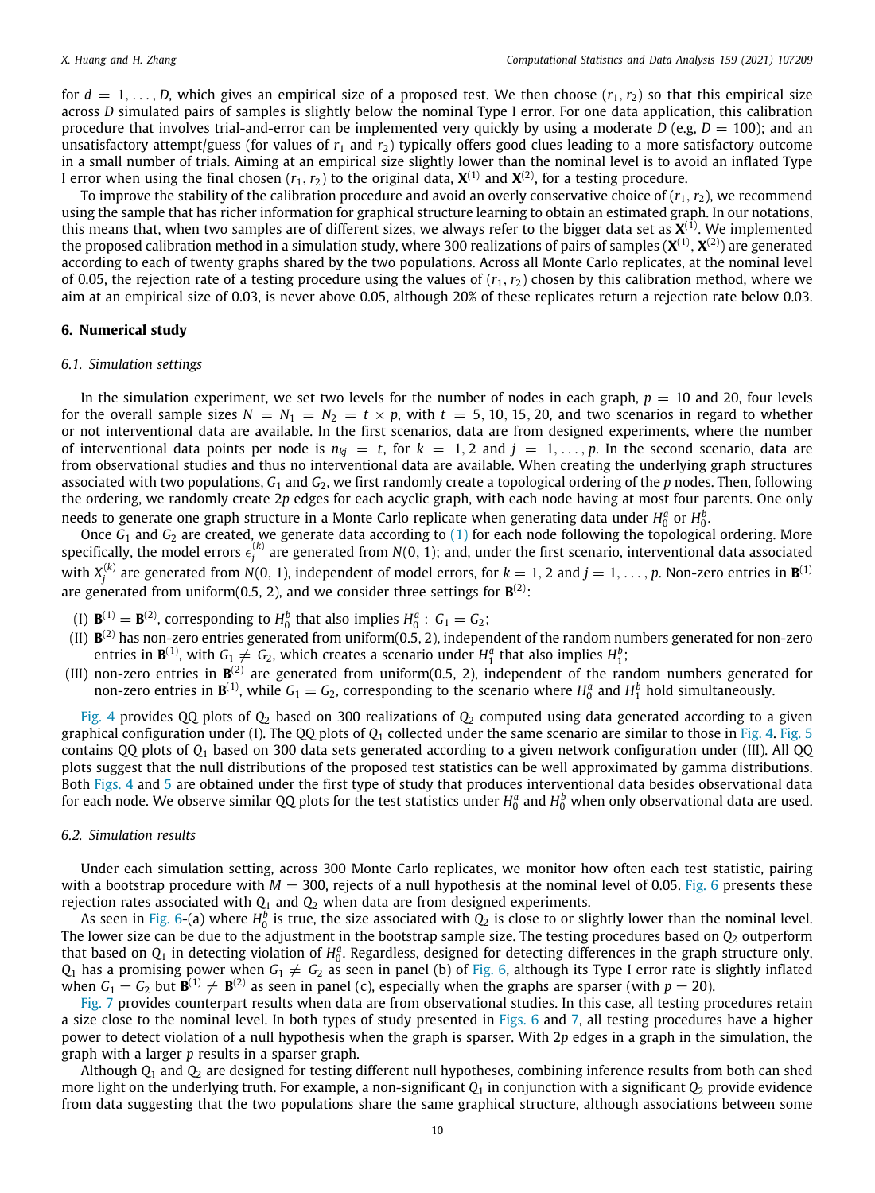for  $d = 1, \ldots, D$ , which gives an empirical size of a proposed test. We then choose  $(r_1, r_2)$  so that this empirical size across *D* simulated pairs of samples is slightly below the nominal Type I error. For one data application, this calibration procedure that involves trial-and-error can be implemented very quickly by using a moderate *D* (e.g,  $D = 100$ ); and an unsatisfactory attempt/guess (for values of  $r_1$  and  $r_2$ ) typically offers good clues leading to a more satisfactory outcome in a small number of trials. Aiming at an empirical size slightly lower than the nominal level is to avoid an inflated Type I error when using the final chosen ( $r_1, r_2$ ) to the original data,  $\boldsymbol{\mathsf{X}}^{(1)}$  and  $\boldsymbol{\mathsf{X}}^{(2)},$  for a testing procedure.

To improve the stability of the calibration procedure and avoid an overly conservative choice of  $(r_1, r_2)$ , we recommend using the sample that has richer information for graphical structure learning to obtain an estimated graph. In our notations, this means that, when two samples are of different sizes, we always refer to the bigger data set as **X** (1). We implemented the proposed calibration method in a simulation study, where 300 realizations of pairs of samples ( $\bm X^{(1)},\bm X^{(2)}$ ) are generated according to each of twenty graphs shared by the two populations. Across all Monte Carlo replicates, at the nominal level of 0.05, the rejection rate of a testing procedure using the values of  $(r_1, r_2)$  chosen by this calibration method, where we aim at an empirical size of 0.03, is never above 0.05, although 20% of these replicates return a rejection rate below 0.03.

#### **6. Numerical study**

#### <span id="page-9-0"></span>*6.1. Simulation settings*

<span id="page-9-1"></span>In the simulation experiment, we set two levels for the number of nodes in each graph,  $p = 10$  and 20, four levels for the overall sample sizes  $N = N_1 = N_2 = t \times p$ , with  $t = 5, 10, 15, 20$ , and two scenarios in regard to whether or not interventional data are available. In the first scenarios, data are from designed experiments, where the number of interventional data points per node is  $n_{ki} = t$ , for  $k = 1, 2$  and  $j = 1, \ldots, p$ . In the second scenario, data are from observational studies and thus no interventional data are available. When creating the underlying graph structures associated with two populations, *G*<sup>1</sup> and *G*2, we first randomly create a topological ordering of the *p* nodes. Then, following the ordering, we randomly create 2*p* edges for each acyclic graph, with each node having at most four parents. One only needs to generate one graph structure in a Monte Carlo replicate when generating data under  $H_0^a$  or  $H_0^b$ .

do conce *G*<sub>1</sub> and *G*<sub>2</sub> are created, we generate data according to [\(1](#page-1-1)) for each node following the topological ordering. More specifically, the model errors  $\epsilon_j^{(k)}$  are generated from  $N(0,$  1); and, under the first scenario, interventional data associated with  $X_j^{(k)}$  are generated from  $N(0,\,1)$ , independent of model errors, for  $k=1,2$  and  $j=1,\,\ldots,p.$  Non-zero entries in  $\mathbf{B}^{(1)}$ are generated from uniform(0.5, 2), and we consider three settings for  $\mathbf{B}^{(2)}$ :

- (I)  $\mathbf{B}^{(1)} = \mathbf{B}^{(2)}$ , corresponding to  $H_0^b$  that also implies  $H_0^a$ :  $G_1 = G_2$ ;
- (II) **B** (2) has non-zero entries generated from uniform(0.5, 2), independent of the random numbers generated for non-zero entries in  $\mathbf{B}^{(1)}$ , with  $G_1 \neq G_2$ , which creates a scenario under  $H_1^a$  that also implies  $H_1^b$ ;
- (III) non-zero entries in  $\mathbf{B}^{(2)}$  are generated from uniform(0.5, 2), independent of the random numbers generated for non-zero entries in  $\mathbf{B}^{(1)}$ , while  $G_1 = G_2$ , corresponding to the scenario where  $H_0^a$  and  $H_1^b$  hold simultaneously.

[Fig.](#page-7-0) [4](#page-7-0) provides QQ plots of *Q*<sup>2</sup> based on 300 realizations of *Q*<sup>2</sup> computed using data generated according to a given graphical configuration under (I). The QQ plots of *Q*<sup>1</sup> collected under the same scenario are similar to those in [Fig.](#page-7-0) [4](#page-7-0). [Fig.](#page-7-1) [5](#page-7-1) contains QQ plots of *Q*<sup>1</sup> based on 300 data sets generated according to a given network configuration under (III). All QQ plots suggest that the null distributions of the proposed test statistics can be well approximated by gamma distributions. Both [Figs.](#page-7-0) [4](#page-7-0) and [5](#page-7-1) are obtained under the first type of study that produces interventional data besides observational data for each node. We observe similar QQ plots for the test statistics under  $H_0^a$  and  $H_0^b$  when only observational data are used.

### *6.2. Simulation results*

<span id="page-9-2"></span>Under each simulation setting, across 300 Monte Carlo replicates, we monitor how often each test statistic, pairing with a bootstrap procedure with  $M = 300$ , rejects of a null hypothesis at the nominal level of 0.05. [Fig.](#page-10-0) [6](#page-10-0) presents these rejection rates associated with  $Q_1$  and  $Q_2$  when data are from designed experiments.

As seen in [Fig.](#page-10-0) [6-](#page-10-0)(a) where  $H_0^b$  is true, the size associated with  $Q_2$  is close to or slightly lower than the nominal level. The lower size can be due to the adjustment in the bootstrap sample size. The testing procedures based on  $Q_2$  outperform that based on  $Q_1$  in detecting violation of  $H_0^a$ . Regardless, designed for detecting differences in the graph structure only,  $Q_1$  has a promising power when  $G_1\neq\,G_2$  as seen in panel (b) of [Fig.](#page-10-0) [6](#page-10-0), although its Type I error rate is slightly inflated when  $G_1 = G_2$  but  $\mathbf{B}^{(1)} \neq \mathbf{B}^{(2)}$  as seen in panel (c), especially when the graphs are sparser (with  $p = 20$ ).

[Fig.](#page-10-1) [7](#page-10-1) provides counterpart results when data are from observational studies. In this case, all testing procedures retain a size close to the nominal level. In both types of study presented in [Figs.](#page-10-0) [6](#page-10-0) and [7](#page-10-1), all testing procedures have a higher power to detect violation of a null hypothesis when the graph is sparser. With 2*p* edges in a graph in the simulation, the graph with a larger *p* results in a sparser graph.

Although *Q*<sup>1</sup> and *Q*<sup>2</sup> are designed for testing different null hypotheses, combining inference results from both can shed more light on the underlying truth. For example, a non-significant *Q*<sup>1</sup> in conjunction with a significant *Q*<sup>2</sup> provide evidence from data suggesting that the two populations share the same graphical structure, although associations between some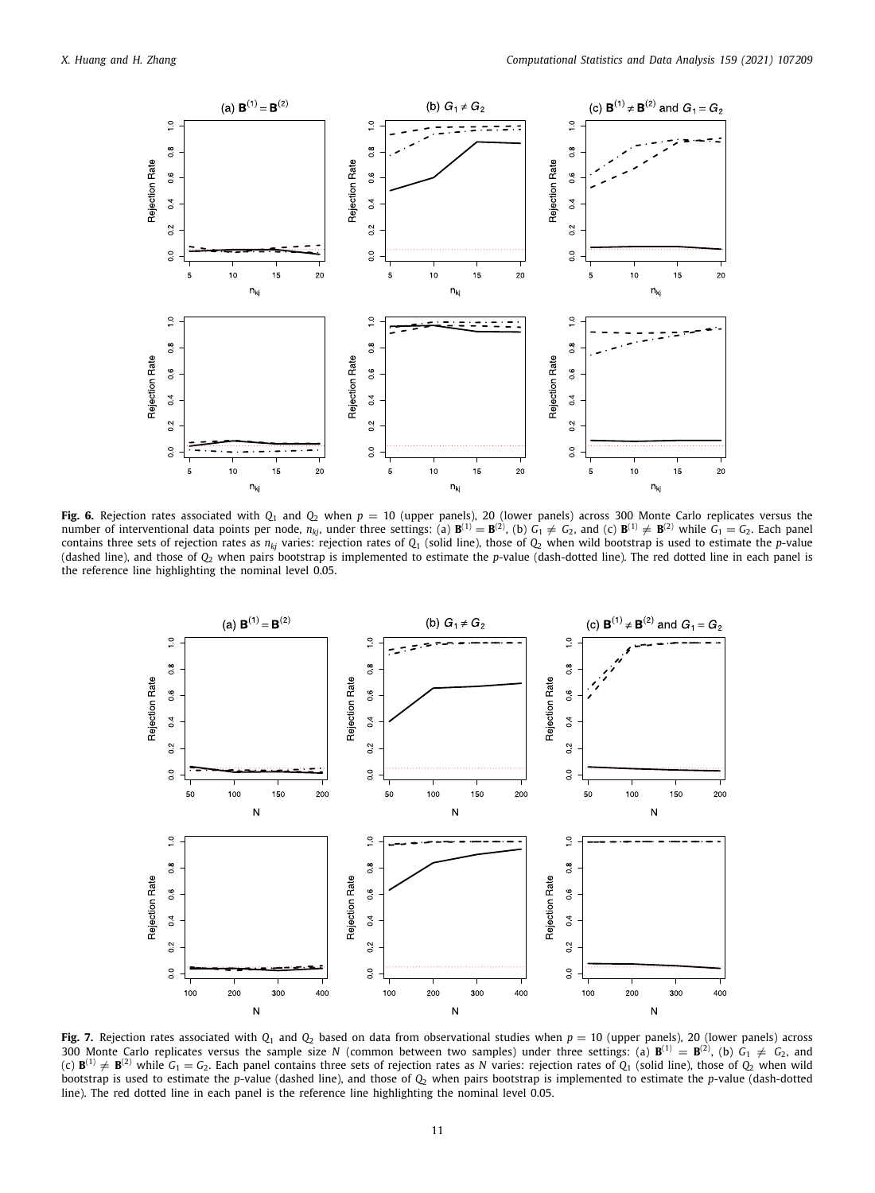

<span id="page-10-0"></span>**Fig. 6.** Rejection rates associated with *Q*<sup>1</sup> and *Q*<sup>2</sup> when *p* = 10 (upper panels), 20 (lower panels) across 300 Monte Carlo replicates versus the number of interventional data points per node,  $n_{kj}$ , under three settings: (a)  $\mathbf{B}^{(1)} = \mathbf{B}^{(2)}$ , (b)  $G_1 \neq G_2$ , and (c)  $\mathbf{B}^{(1)} \neq \mathbf{B}^{(2)}$  while  $G_1 = G_2$ . Each panel contains three sets of rejection rates as  $n_{ki}$  varies: rejection rates of  $Q_1$  (solid line), those of  $Q_2$  when wild bootstrap is used to estimate the *p*-value (dashed line), and those of *Q*<sup>2</sup> when pairs bootstrap is implemented to estimate the *p*-value (dash-dotted line). The red dotted line in each panel is the reference line highlighting the nominal level 0.05.



<span id="page-10-1"></span>**Fig. 7.** Rejection rates associated with  $Q_1$  and  $Q_2$  based on data from observational studies when  $p = 10$  (upper panels), 20 (lower panels) across 300 Monte Carlo replicates versus the sample size *N* (common between two samples) under three settings: (a)  $\mathbf{B}^{(1)} = \mathbf{B}^{(2)}$ , (b)  $G_1 \neq G_2$ , and (c)  $\mathbf{B}^{(1)}\neq\mathbf{B}^{(2)}$  while  $G_1=G_2.$  Each panel contains three sets of rejection rates as *N* varies: rejection rates of  $Q_1$  (solid line), those of  $Q_2$  when wild bootstrap is used to estimate the *p*-value (dashed line), and those of *Q*<sup>2</sup> when pairs bootstrap is implemented to estimate the *p*-value (dash-dotted line). The red dotted line in each panel is the reference line highlighting the nominal level 0.05.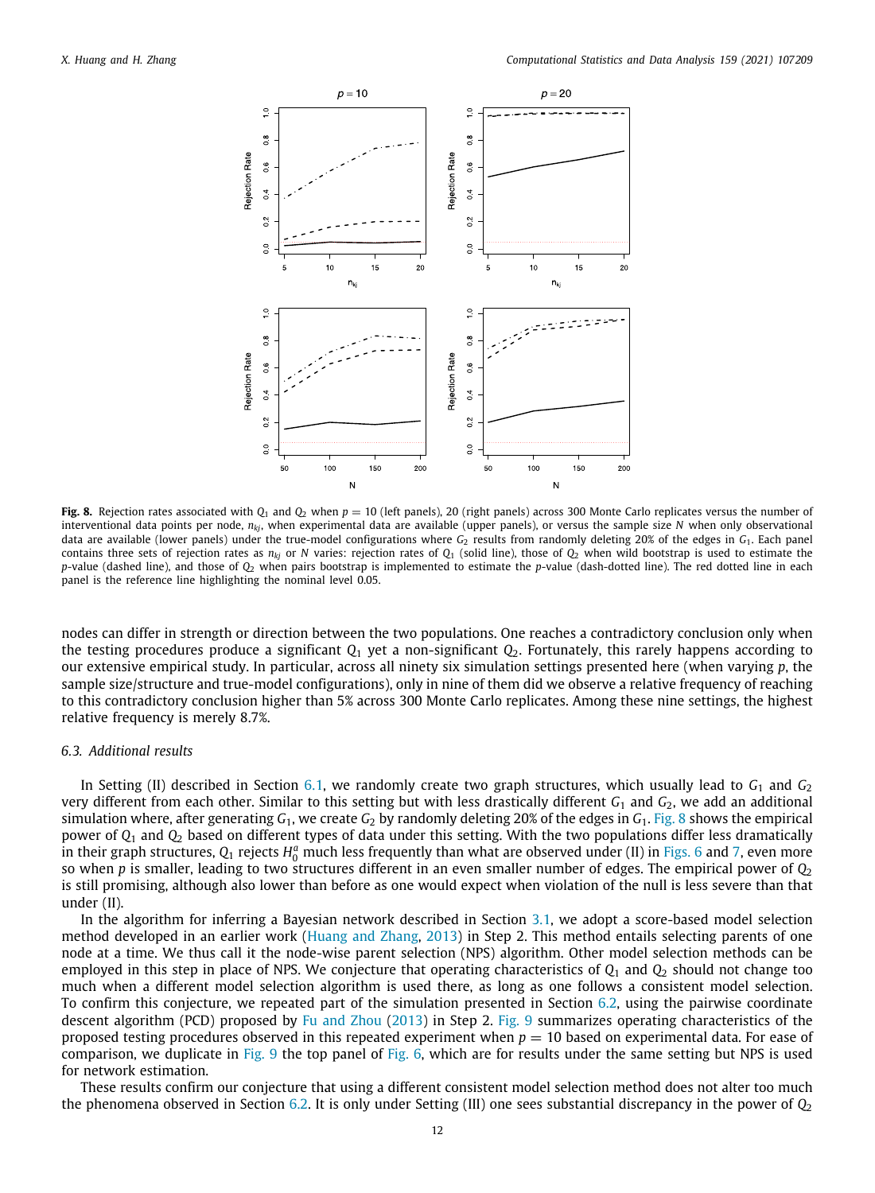

<span id="page-11-0"></span>**Fig. 8.** Rejection rates associated with  $Q_1$  and  $Q_2$  when  $p = 10$  (left panels), 20 (right panels) across 300 Monte Carlo replicates versus the number of interventional data points per node, *nkj*, when experimental data are available (upper panels), or versus the sample size *N* when only observational data are available (lower panels) under the true-model configurations where *G*<sub>2</sub> results from randomly deleting 20% of the edges in *G*<sub>1</sub>. Each panel contains three sets of rejection rates as  $n_{kj}$  or *N* varies: rejection rates of  $Q_1$  (solid line), those of  $Q_2$  when wild bootstrap is used to estimate the *p*-value (dashed line), and those of *Q*<sup>2</sup> when pairs bootstrap is implemented to estimate the *p*-value (dash-dotted line). The red dotted line in each panel is the reference line highlighting the nominal level 0.05.

nodes can differ in strength or direction between the two populations. One reaches a contradictory conclusion only when the testing procedures produce a significant  $Q_1$  yet a non-significant  $Q_2$ . Fortunately, this rarely happens according to our extensive empirical study. In particular, across all ninety six simulation settings presented here (when varying *p*, the sample size/structure and true-model configurations), only in nine of them did we observe a relative frequency of reaching to this contradictory conclusion higher than 5% across 300 Monte Carlo replicates. Among these nine settings, the highest relative frequency is merely 8.7%.

#### *6.3. Additional results*

<span id="page-11-1"></span>In Setting (II) described in Section [6.1](#page-9-1), we randomly create two graph structures, which usually lead to  $G_1$  and  $G_2$ very different from each other. Similar to this setting but with less drastically different  $G_1$  and  $G_2$ , we add an additional simulation where, after generating *G*1, we create *G*<sup>2</sup> by randomly deleting 20% of the edges in *G*1. [Fig.](#page-11-0) [8](#page-11-0) shows the empirical power of *Q*<sup>1</sup> and *Q*<sup>2</sup> based on different types of data under this setting. With the two populations differ less dramatically in their graph structures,  $Q_1$  rejects  $H_0^a$  much less frequently than what are observed under (II) in [Figs.](#page-10-0) [6](#page-10-0) and [7,](#page-10-1) even more so when *p* is smaller, leading to two structures different in an even smaller number of edges. The empirical power of *Q*<sup>2</sup> is still promising, although also lower than before as one would expect when violation of the null is less severe than that under (II).

In the algorithm for inferring a Bayesian network described in Section [3.1,](#page-2-2) we adopt a score-based model selection method developed in an earlier work [\(Huang and Zhang](#page-15-12), [2013\)](#page-15-12) in Step 2. This method entails selecting parents of one node at a time. We thus call it the node-wise parent selection (NPS) algorithm. Other model selection methods can be employed in this step in place of NPS. We conjecture that operating characteristics of *Q*<sup>1</sup> and *Q*<sup>2</sup> should not change too much when a different model selection algorithm is used there, as long as one follows a consistent model selection. To confirm this conjecture, we repeated part of the simulation presented in Section [6.2,](#page-9-2) using the pairwise coordinate descent algorithm (PCD) proposed by [Fu and Zhou](#page-15-19) ([2013](#page-15-19)) in Step 2. [Fig.](#page-12-1) [9](#page-12-1) summarizes operating characteristics of the proposed testing procedures observed in this repeated experiment when  $p = 10$  based on experimental data. For ease of comparison, we duplicate in [Fig.](#page-10-0) [9](#page-12-1) the top panel of Fig. [6](#page-10-0), which are for results under the same setting but NPS is used for network estimation.

These results confirm our conjecture that using a different consistent model selection method does not alter too much the phenomena observed in Section [6.2.](#page-9-2) It is only under Setting (III) one sees substantial discrepancy in the power of *Q*<sup>2</sup>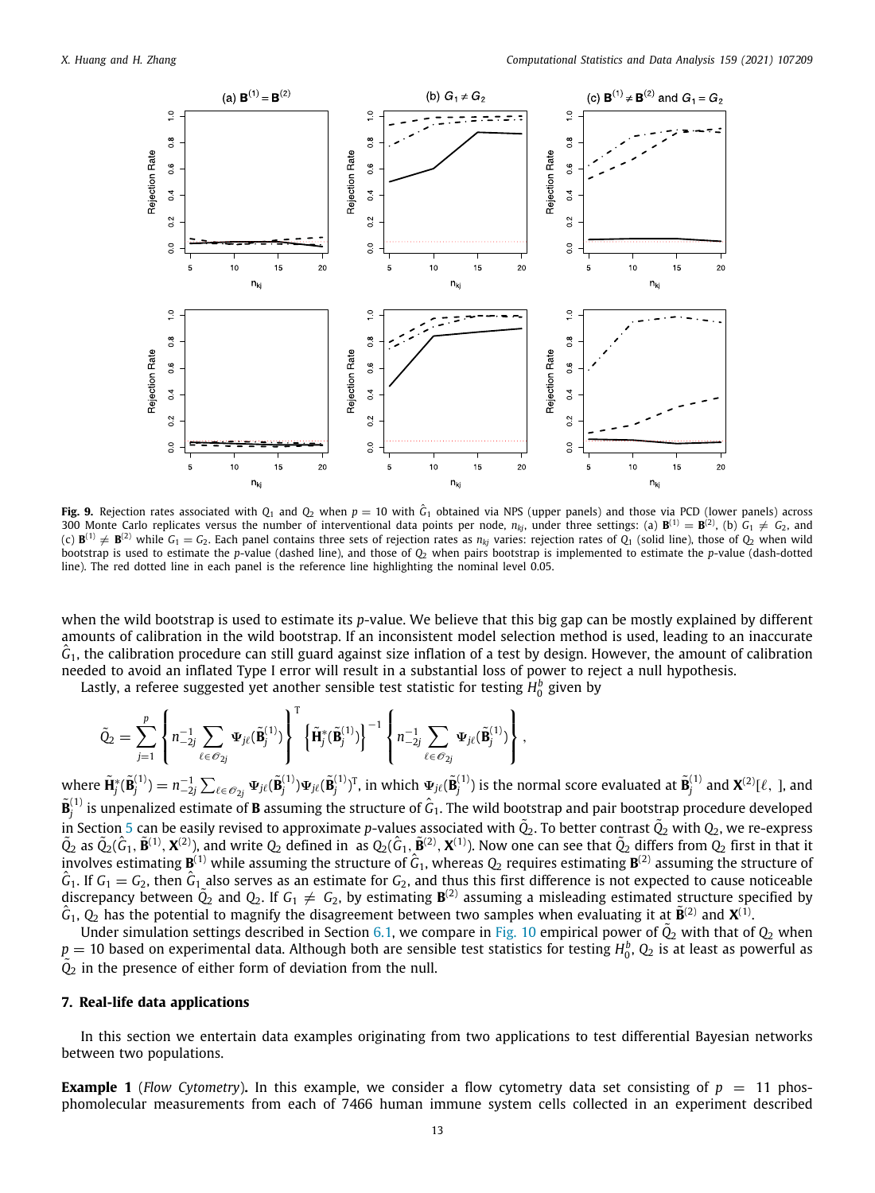

<span id="page-12-1"></span>**Fig. 9.** Rejection rates associated with  $Q_1$  and  $Q_2$  when  $p=10$  with  $\hat{G}_1$  obtained via NPS (upper panels) and those via PCD (lower panels) across 300 Monte Carlo replicates versus the number of interventional data points per node,  $n_{kj}$ , under three settings: (a)  ${\bf B}^{(1)}={\bf B}^{(2)}$ , (b)  $G_1\neq G_2$ , and (c)  $\mathbf{B}^{(1)}\neq\mathbf{B}^{(2)}$  while  $G_1=G_2.$  Each panel contains three sets of rejection rates as  $n_{kj}$  varies: rejection rates of  $Q_1$  (solid line), those of  $Q_2$  when wild bootstrap is used to estimate the *p*-value (dashed line), and those of  $Q_2$  when pairs bootstrap is implemented to estimate the *p*-value (dash-dotted line). The red dotted line in each panel is the reference line highlighting the nominal level 0.05.

when the wild bootstrap is used to estimate its *p*-value. We believe that this big gap can be mostly explained by different amounts of calibration in the wild bootstrap. If an inconsistent model selection method is used, leading to an inaccurate  $\hat G_1$ , the calibration procedure can still guard against size inflation of a test by design. However, the amount of calibration needed to avoid an inflated Type I error will result in a substantial loss of power to reject a null hypothesis.

Lastly, a referee suggested yet another sensible test statistic for testing *H b* 0 given by

$$
\tilde{Q}_2 = \sum_{j=1}^p \left\{ n_{-2j}^{-1} \sum_{\ell \in \mathcal{O}_{2j}} \Psi_{j\ell}(\tilde{\mathbf{B}}_j^{(1)}) \right\}^{\mathrm{T}} \left\{ \tilde{\mathbf{H}}_j^*(\tilde{\mathbf{B}}_j^{(1)}) \right\}^{-1} \left\{ n_{-2j}^{-1} \sum_{\ell \in \mathcal{O}_{2j}} \Psi_{j\ell}(\tilde{\mathbf{B}}_j^{(1)}) \right\},\,
$$

where  $\tilde{\mathbf{H}}^*_j(\tilde{\mathbf{B}}^{(1)}_j)=n_{-2j}^{-1}\sum_{\ell\in \mathscr{O}_{2j}}\mathbf{\Psi}_{j\ell}(\tilde{\mathbf{B}}^{(1)}_j)\mathbf{\Psi}_{j\ell}(\tilde{\mathbf{B}}^{(1)}_j)^{\text{T}},$  in which  $\mathbf{\Psi}_{j\ell}(\tilde{\mathbf{B}}^{(1)}_j)$  is the normal score evaluated at  $\tilde{\mathbf{B}}^{(1)}_j$  and  $\mathbf{X}^{(2)}[\$  $\tilde{\bf B}^{(1)}_i$  is unpenalized estimate of **B** assuming the structure of  $\hat G_1$ . The wild bootstrap and pair bootstrap procedure developed  $\tilde{Q}_2$  as  $\tilde{Q}_2(\hat{G}_1, \tilde{\mathbf{B}}^{(1)}, \mathbf{X}^{(2)})$ , and write  $Q_2$  defined in as  $Q_2(\hat{G}_1, \tilde{\mathbf{B}}^{(2)}, \mathbf{X}^{(1)})$ . Now one can see that  $\tilde{Q}_2$  differs from  $Q_2$  first in that it  $\tilde{Q}_2$  as  $\tilde{Q}_2(\hat{G}_1, \tilde{\math$ involves estimating  $\mathbf{B}^{(1)}$  while assuming the structure of  $\hat{G}_1$ , whereas  $Q_2$  requires estimating  $\mathbf{B}^{(2)}$  assuming the structure of  $\hat{G}_1$ . If  $G_1 = G_2$ , then  $\hat{G}_1$  also serves as an estimate for  $G_2$ , and thus this first difference is not expected to cause noticeable discrepancy between  $\tilde{Q}_2$  and  $Q_2$ . If  $G_1 \neq G_2$ , by estimating  $\mathbf{B}$  $\hat{G}_1$ ,  $Q_2$  has the potential to magnify the disagreement between two samples when evaluating it at  $\tilde{B}^{(2)}$  and  $X^{(1)}$ .

Under simulation settings described in Section [6.1](#page-9-1), we compare in [Fig.](#page-13-0) [10](#page-13-0) empirical power of  $\tilde{Q}_2$  with that of  $Q_2$  when  $p=10$  based on experimental data. Although both are sensible test statistics for testing  $H_0^b$ ,  $Q_2$  is at least as powerful as *Q*˜ <sup>2</sup> in the presence of either form of deviation from the null.

# **7. Real-life data applications**

<span id="page-12-0"></span>In this section we entertain data examples originating from two applications to test differential Bayesian networks between two populations.

**Example 1** (*Flow Cytometry*). In this example, we consider a flow cytometry data set consisting of  $p = 11$  phosphomolecular measurements from each of 7466 human immune system cells collected in an experiment described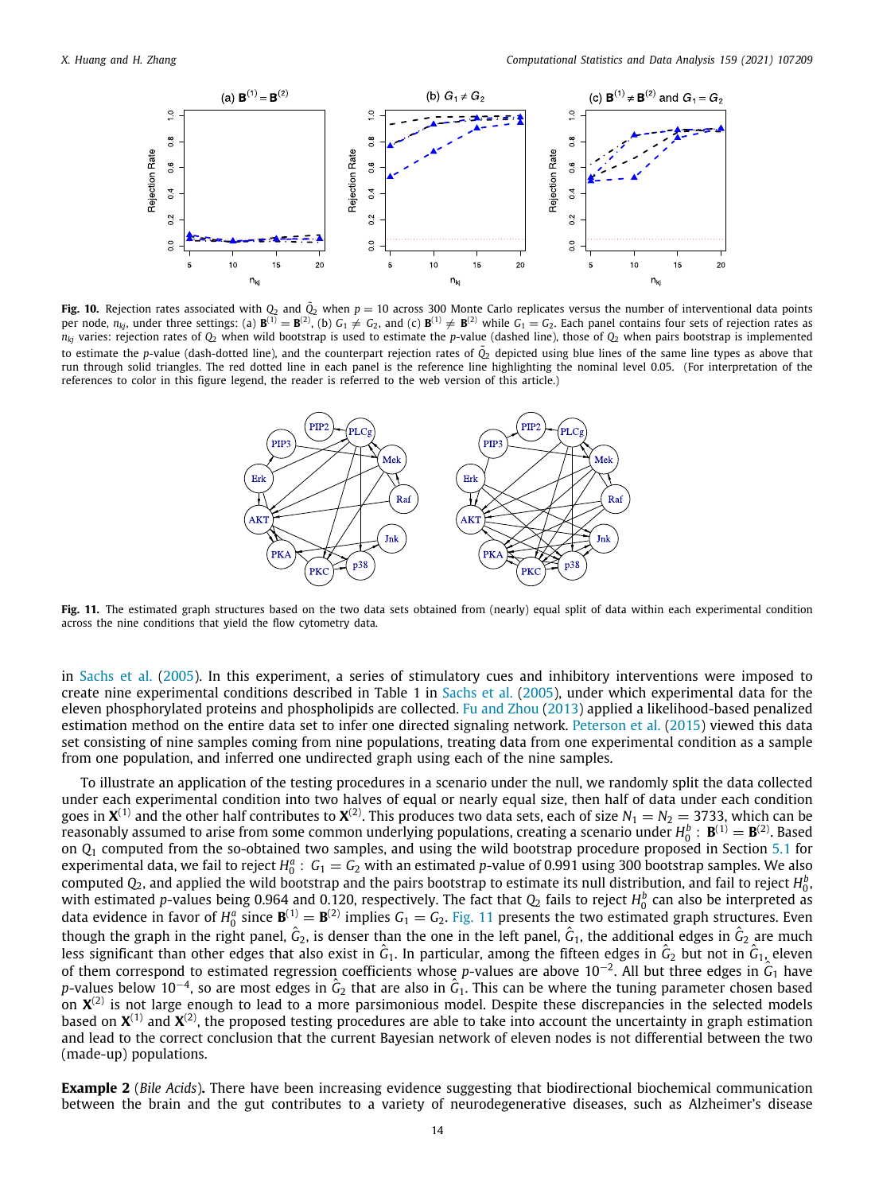

<span id="page-13-0"></span>**Fig. 10.** Rejection rates associated with  $Q_2$  and  $\tilde{Q}_2$  when  $p = 10$  across 300 Monte Carlo replicates versus the number of interventional data points per node,  $n_{kj}$ , under three settings: (a)  $\mathbf{B}^{(1)} = \mathbf{B}^{(2)}$ , (b)  $G_1 \neq G_2$ , and (c)  $\mathbf{B}^{(1)} \neq \mathbf{B}^{(2)}$  while  $G_1 = G_2$ . Each panel contains four sets of rejection rates as  $n_{ki}$  varies: rejection rates of  $Q_2$  when wild bootstrap is used to estimate the *p*-value (dashed line), those of  $Q_2$  when pairs bootstrap is implemented to estimate the *p*-value (dash-dotted line), and the counterpart rejection rates of  $\tilde{Q}_2$  depicted using blue lines of the same line types as above that run through solid triangles. The red dotted line in each panel is the reference line highlighting the nominal level 0.05. (For interpretation of the references to color in this figure legend, the reader is referred to the web version of this article.)



<span id="page-13-1"></span>Fig. 11. The estimated graph structures based on the two data sets obtained from (nearly) equal split of data within each experimental condition across the nine conditions that yield the flow cytometry data.

in [Sachs et al.](#page-16-12) ([2005\)](#page-16-12). In this experiment, a series of stimulatory cues and inhibitory interventions were imposed to create nine experimental conditions described in Table 1 in [Sachs et al.](#page-16-12) ([2005\)](#page-16-12), under which experimental data for the eleven phosphorylated proteins and phospholipids are collected. [Fu and Zhou](#page-15-19) ([2013](#page-15-19)) applied a likelihood-based penalized estimation method on the entire data set to infer one directed signaling network. [Peterson et al.](#page-16-13) [\(2015](#page-16-13)) viewed this data set consisting of nine samples coming from nine populations, treating data from one experimental condition as a sample from one population, and inferred one undirected graph using each of the nine samples.

To illustrate an application of the testing procedures in a scenario under the null, we randomly split the data collected under each experimental condition into two halves of equal or nearly equal size, then half of data under each condition goes in  $X^{(1)}$  and the other half contributes to  $X^{(2)}.$  This produces two data sets, each of size  $N_1=N_2=$  3733, which can be reasonably assumed to arise from some common underlying populations, creating a scenario under  $H_0^b$  :  ${\bf B}^{(1)}={\bf B}^{(2)}$ . Based on *Q*<sup>1</sup> computed from the so-obtained two samples, and using the wild bootstrap procedure proposed in Section [5.1](#page-5-1) for experimental data, we fail to reject  $H_0^a$ :  $G_1 = G_2$  with an estimated p-value of 0.991 using 300 bootstrap samples. We also computed  $Q_2$ , and applied the wild bootstrap and the pairs bootstrap to estimate its null distribution, and fail to reject  $H_0^b$ . with estimated p-values being 0.964 and 0.120, respectively. The fact that  $Q_2$  fails to reject  $H_0^b$  can also be interpreted as data evidence in favor of  $H_0^a$  since  $\mathbf{B}^{(1)} = \mathbf{B}^{(2)}$  implies  $G_1 = G_2$ . [Fig.](#page-13-1) [11](#page-13-1) presents the two estimated graph structures. Even though the graph in the right panel,  $\hat{G}_2$ , is denser than the one in the left panel,  $\hat{G}_1$ , the additional edges in  $\hat{G}_2$  are much less significant than other edges that also exist in  $\hat{G}_1$ . In particular, among the fifteen edges in  $\hat{G}_2$  but not in  $\hat{G}_1$ , eleven of them correspond to estimated regression coefficients whose *p*-values are above 10−<sup>2</sup> . All but three edges in *<sup>G</sup>*ˆ <sup>1</sup> have p-values below 10<sup>−4</sup>, so are most edges in  $\hat G_2$  that are also in  $\hat G_1$ . This can be where the tuning parameter chosen based on  ${\bf X}^{(2)}$  is not large enough to lead to a more parsimonious model. Despite these discrepancies in the selected models based on  $X^{(1)}$  and  $X^{(2)}$ , the proposed testing procedures are able to take into account the uncertainty in graph estimation and lead to the correct conclusion that the current Bayesian network of eleven nodes is not differential between the two (made-up) populations.

**Example 2** (*Bile Acids*)**.** There have been increasing evidence suggesting that biodirectional biochemical communication between the brain and the gut contributes to a variety of neurodegenerative diseases, such as Alzheimer's disease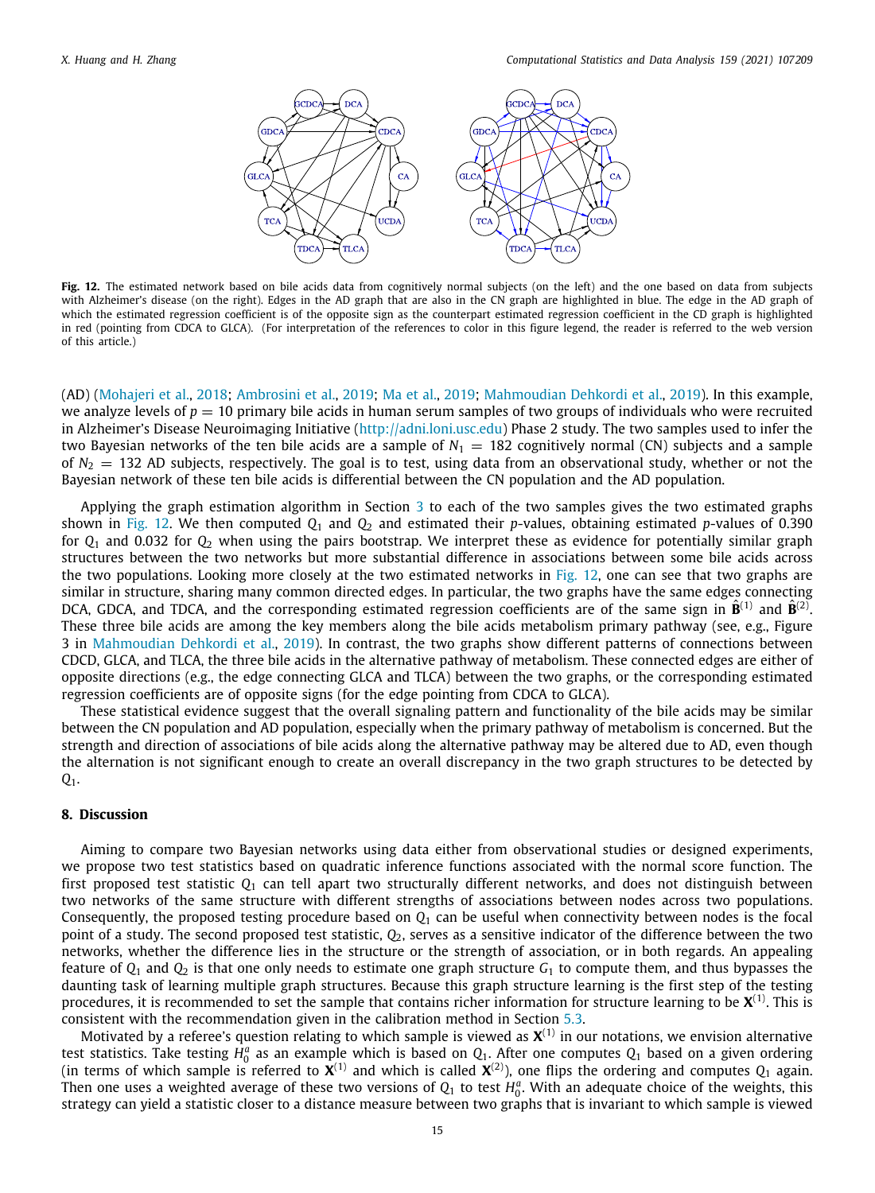

<span id="page-14-1"></span>**Fig. 12.** The estimated network based on bile acids data from cognitively normal subjects (on the left) and the one based on data from subjects with Alzheimer's disease (on the right). Edges in the AD graph that are also in the CN graph are highlighted in blue. The edge in the AD graph of which the estimated regression coefficient is of the opposite sign as the counterpart estimated regression coefficient in the CD graph is highlighted in red (pointing from CDCA to GLCA). (For interpretation of the references to color in this figure legend, the reader is referred to the web version of this article.)

(AD) ([Mohajeri et al.,](#page-16-14) [2018;](#page-16-14) [Ambrosini et al.,](#page-15-20) [2019;](#page-15-20) [Ma et al.,](#page-15-21) [2019;](#page-15-21) [Mahmoudian Dehkordi et al.](#page-15-22), [2019](#page-15-22)). In this example, we analyze levels of  $p = 10$  primary bile acids in human serum samples of two groups of individuals who were recruited in Alzheimer's Disease Neuroimaging Initiative ([http://adni.loni.usc.edu\)](http://adni.loni.usc.edu) Phase 2 study. The two samples used to infer the two Bayesian networks of the ten bile acids are a sample of  $N_1 = 182$  cognitively normal (CN) subjects and a sample of  $N_2 = 132$  AD subjects, respectively. The goal is to test, using data from an observational study, whether or not the Bayesian network of these ten bile acids is differential between the CN population and the AD population.

Applying the graph estimation algorithm in Section [3](#page-2-0) to each of the two samples gives the two estimated graphs shown in [Fig.](#page-14-1) [12](#page-14-1). We then computed  $Q_1$  and  $Q_2$  and estimated their *p*-values, obtaining estimated *p*-values of 0.390 for *Q*<sup>1</sup> and 0.032 for *Q*<sup>2</sup> when using the pairs bootstrap. We interpret these as evidence for potentially similar graph structures between the two networks but more substantial difference in associations between some bile acids across the two populations. Looking more closely at the two estimated networks in [Fig.](#page-14-1) [12](#page-14-1), one can see that two graphs are similar in structure, sharing many common directed edges. In particular, the two graphs have the same edges connecting DCA, GDCA, and TDCA, and the corresponding estimated regression coefficients are of the same sign in  $\hat{B}^{(1)}$  and  $\hat{B}^{(2)}$ . These three bile acids are among the key members along the bile acids metabolism primary pathway (see, e.g., Figure 3 in [Mahmoudian Dehkordi et al.](#page-15-22), [2019\)](#page-15-22). In contrast, the two graphs show different patterns of connections between CDCD, GLCA, and TLCA, the three bile acids in the alternative pathway of metabolism. These connected edges are either of opposite directions (e.g., the edge connecting GLCA and TLCA) between the two graphs, or the corresponding estimated regression coefficients are of opposite signs (for the edge pointing from CDCA to GLCA).

These statistical evidence suggest that the overall signaling pattern and functionality of the bile acids may be similar between the CN population and AD population, especially when the primary pathway of metabolism is concerned. But the strength and direction of associations of bile acids along the alternative pathway may be altered due to AD, even though the alternation is not significant enough to create an overall discrepancy in the two graph structures to be detected by *Q*1.

#### **8. Discussion**

<span id="page-14-0"></span>Aiming to compare two Bayesian networks using data either from observational studies or designed experiments, we propose two test statistics based on quadratic inference functions associated with the normal score function. The first proposed test statistic *Q*<sup>1</sup> can tell apart two structurally different networks, and does not distinguish between two networks of the same structure with different strengths of associations between nodes across two populations. Consequently, the proposed testing procedure based on  $Q_1$  can be useful when connectivity between nodes is the focal point of a study. The second proposed test statistic, *Q*2, serves as a sensitive indicator of the difference between the two networks, whether the difference lies in the structure or the strength of association, or in both regards. An appealing feature of  $Q_1$  and  $Q_2$  is that one only needs to estimate one graph structure  $G_1$  to compute them, and thus bypasses the daunting task of learning multiple graph structures. Because this graph structure learning is the first step of the testing procedures, it is recommended to set the sample that contains richer information for structure learning to be **X** (1). This is consistent with the recommendation given in the calibration method in Section [5.3](#page-8-0).

Motivated by a referee's question relating to which sample is viewed as  $\bm{X}^{(1)}$  in our notations, we envision alternative test statistics. Take testing  $H_0^a$  as an example which is based on  $Q_1$ . After one computes  $Q_1$  based on a given ordering (in terms of which sample is referred to  $X^{(1)}$  and which is called  $X^{(2)}$ ), one flips the ordering and computes  $Q_1$  again. Then one uses a weighted average of these two versions of  $Q_1$  to test  $H_0^a$ . With an adequate choice of the weights, this strategy can yield a statistic closer to a distance measure between two graphs that is invariant to which sample is viewed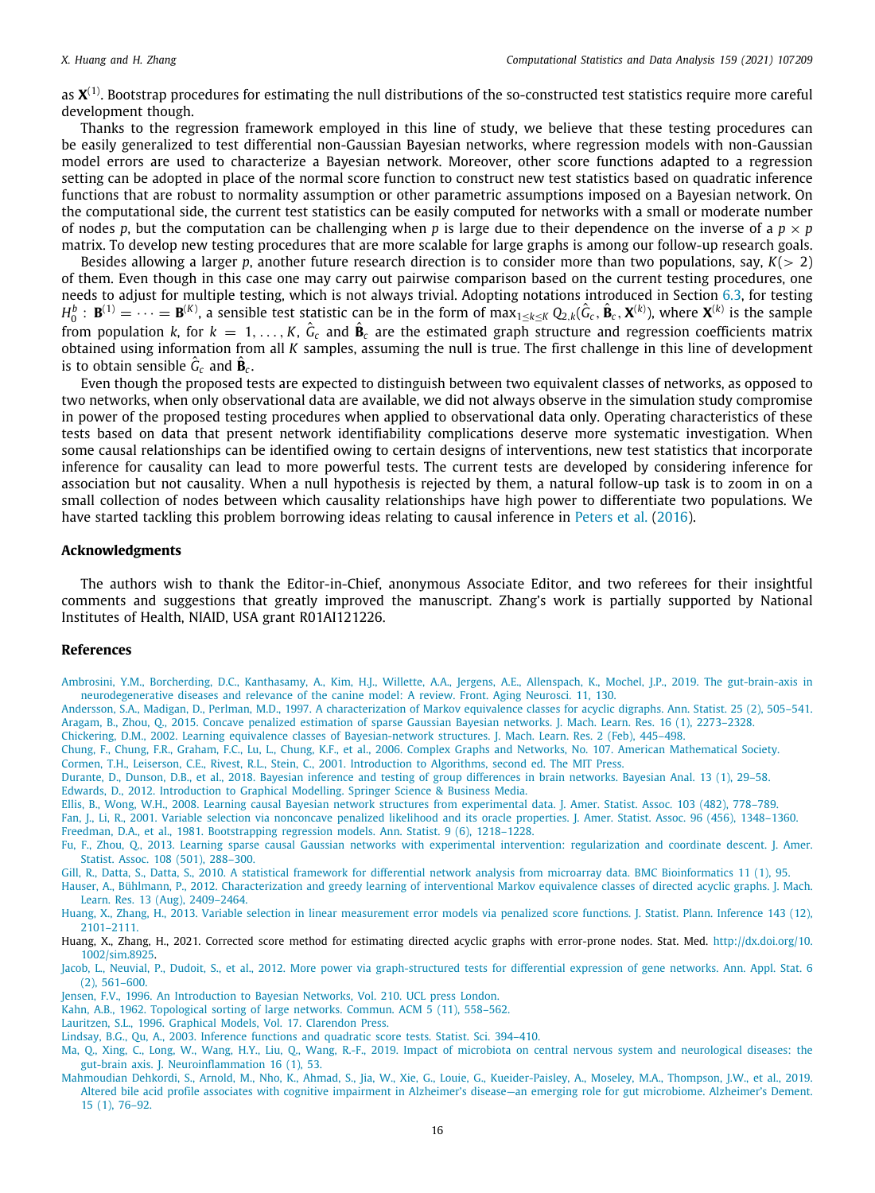as **X** (1). Bootstrap procedures for estimating the null distributions of the so-constructed test statistics require more careful development though.

Thanks to the regression framework employed in this line of study, we believe that these testing procedures can be easily generalized to test differential non-Gaussian Bayesian networks, where regression models with non-Gaussian model errors are used to characterize a Bayesian network. Moreover, other score functions adapted to a regression setting can be adopted in place of the normal score function to construct new test statistics based on quadratic inference functions that are robust to normality assumption or other parametric assumptions imposed on a Bayesian network. On the computational side, the current test statistics can be easily computed for networks with a small or moderate number of nodes *p*, but the computation can be challenging when *p* is large due to their dependence on the inverse of a  $p \times p$ matrix. To develop new testing procedures that are more scalable for large graphs is among our follow-up research goals.

Besides allowing a larger *p*, another future research direction is to consider more than two populations, say, *K*(> 2) of them. Even though in this case one may carry out pairwise comparison based on the current testing procedures, one needs to adjust for multiple testing, which is not always trivial. Adopting notations introduced in Section [6.3](#page-11-1), for testing  $H_0^b$ :  $\mathbf{B}^{(1)} = \cdots = \mathbf{B}^{(K)}$ , a sensible test statistic can be in the form of  $\max_{1 \le k \le K} Q_{2,k}(\hat{G}_c, \hat{\mathbf{B}}_c, \mathbf{X}^{(k)})$ , where  $\mathbf{X}^{(k)}$  is the sample from population *k*, for  $k = 1, \ldots, K$ ,  $\hat{G}_c$  and  $\hat{B}_c$  are the estimated graph structure and regression coefficients matrix obtained using information from all *K* samples, assuming the null is true. The first challenge in this line of development is to obtain sensible  $\hat{G}_c$  and  $\hat{\mathbf{B}}_c$ .

Even though the proposed tests are expected to distinguish between two equivalent classes of networks, as opposed to two networks, when only observational data are available, we did not always observe in the simulation study compromise in power of the proposed testing procedures when applied to observational data only. Operating characteristics of these tests based on data that present network identifiability complications deserve more systematic investigation. When some causal relationships can be identified owing to certain designs of interventions, new test statistics that incorporate inference for causality can lead to more powerful tests. The current tests are developed by considering inference for association but not causality. When a null hypothesis is rejected by them, a natural follow-up task is to zoom in on a small collection of nodes between which causality relationships have high power to differentiate two populations. We have started tackling this problem borrowing ideas relating to causal inference in [Peters et al.](#page-16-15) [\(2016](#page-16-15)).

# **Acknowledgments**

The authors wish to thank the Editor-in-Chief, anonymous Associate Editor, and two referees for their insightful comments and suggestions that greatly improved the manuscript. Zhang's work is partially supported by National Institutes of Health, NIAID, USA grant R01AI121226.

# **References**

<span id="page-15-20"></span>[Ambrosini, Y.M., Borcherding, D.C., Kanthasamy, A., Kim, H.J., Willette, A.A., Jergens, A.E., Allenspach, K., Mochel, J.P., 2019. The gut-brain-axis in](http://refhub.elsevier.com/S0167-9473(21)00043-8/sb1) [neurodegenerative diseases and relevance of the canine model: A review. Front. Aging Neurosci. 11, 130.](http://refhub.elsevier.com/S0167-9473(21)00043-8/sb1)

<span id="page-15-15"></span><span id="page-15-6"></span>[Andersson, S.A., Madigan, D., Perlman, M.D., 1997. A characterization of Markov equivalence classes for acyclic digraphs. Ann. Statist. 25 \(2\), 505–541.](http://refhub.elsevier.com/S0167-9473(21)00043-8/sb2) [Aragam, B., Zhou, Q., 2015. Concave penalized estimation of sparse Gaussian Bayesian networks. J. Mach. Learn. Res. 16 \(1\), 2273–2328.](http://refhub.elsevier.com/S0167-9473(21)00043-8/sb3)

<span id="page-15-7"></span>[Chickering, D.M., 2002. Learning equivalence classes of Bayesian-network structures. J. Mach. Learn. Res. 2 \(Feb\), 445–498.](http://refhub.elsevier.com/S0167-9473(21)00043-8/sb4)

<span id="page-15-11"></span><span id="page-15-10"></span>[Chung, F., Chung, F.R., Graham, F.C., Lu, L., Chung, K.F., et al., 2006. Complex Graphs and Networks, No. 107. American Mathematical Society.](http://refhub.elsevier.com/S0167-9473(21)00043-8/sb5) [Cormen, T.H., Leiserson, C.E., Rivest, R.L., Stein, C., 2001. Introduction to Algorithms, second ed. The MIT Press.](http://refhub.elsevier.com/S0167-9473(21)00043-8/sb6)

<span id="page-15-5"></span>[Durante, D., Dunson, D.B., et al., 2018. Bayesian inference and testing of group differences in brain networks. Bayesian Anal. 13 \(1\), 29–58.](http://refhub.elsevier.com/S0167-9473(21)00043-8/sb7)

<span id="page-15-2"></span>[Edwards, D., 2012. Introduction to Graphical Modelling. Springer Science & Business Media.](http://refhub.elsevier.com/S0167-9473(21)00043-8/sb8)

<span id="page-15-9"></span>[Ellis, B., Wong, W.H., 2008. Learning causal Bayesian network structures from experimental data. J. Amer. Statist. Assoc. 103 \(482\), 778–789.](http://refhub.elsevier.com/S0167-9473(21)00043-8/sb9)

<span id="page-15-18"></span><span id="page-15-14"></span>[Fan, J., Li, R., 2001. Variable selection via nonconcave penalized likelihood and its oracle properties. J. Amer. Statist. Assoc. 96 \(456\), 1348–1360.](http://refhub.elsevier.com/S0167-9473(21)00043-8/sb10) [Freedman, D.A., et al., 1981. Bootstrapping regression models. Ann. Statist. 9 \(6\), 1218–1228.](http://refhub.elsevier.com/S0167-9473(21)00043-8/sb11)

<span id="page-15-19"></span>[Fu, F., Zhou, Q., 2013. Learning sparse causal Gaussian networks with experimental intervention: regularization and coordinate descent. J. Amer.](http://refhub.elsevier.com/S0167-9473(21)00043-8/sb12) [Statist. Assoc. 108 \(501\), 288–300.](http://refhub.elsevier.com/S0167-9473(21)00043-8/sb12)

<span id="page-15-3"></span>[Gill, R., Datta, S., Datta, S., 2010. A statistical framework for differential network analysis from microarray data. BMC Bioinformatics 11 \(1\), 95.](http://refhub.elsevier.com/S0167-9473(21)00043-8/sb13)

<span id="page-15-8"></span>[Hauser, A., Bühlmann, P., 2012. Characterization and greedy learning of interventional Markov equivalence classes of directed acyclic graphs. J. Mach.](http://refhub.elsevier.com/S0167-9473(21)00043-8/sb14) [Learn. Res. 13 \(Aug\), 2409–2464.](http://refhub.elsevier.com/S0167-9473(21)00043-8/sb14)

<span id="page-15-12"></span>[Huang, X., Zhang, H., 2013. Variable selection in linear measurement error models via penalized score functions. J. Statist. Plann. Inference 143 \(12\),](http://refhub.elsevier.com/S0167-9473(21)00043-8/sb15) [2101–2111.](http://refhub.elsevier.com/S0167-9473(21)00043-8/sb15)

<span id="page-15-17"></span>Huang, X., Zhang, H., 2021. Corrected score method for estimating directed acyclic graphs with error-prone nodes. Stat. Med. [http://dx.doi.org/10.](http://dx.doi.org/10.1002/sim.8925) [1002/sim.8925](http://dx.doi.org/10.1002/sim.8925).

<span id="page-15-4"></span>[Jacob, L., Neuvial, P., Dudoit, S., et al., 2012. More power via graph-structured tests for differential expression of gene networks. Ann. Appl. Stat. 6](http://refhub.elsevier.com/S0167-9473(21)00043-8/sb17) [\(2\), 561–600.](http://refhub.elsevier.com/S0167-9473(21)00043-8/sb17)

<span id="page-15-0"></span>[Jensen, F.V., 1996. An Introduction to Bayesian Networks, Vol. 210. UCL press London.](http://refhub.elsevier.com/S0167-9473(21)00043-8/sb18)

- <span id="page-15-13"></span>[Kahn, A.B., 1962. Topological sorting of large networks. Commun. ACM 5 \(11\), 558–562.](http://refhub.elsevier.com/S0167-9473(21)00043-8/sb19)
- <span id="page-15-1"></span>[Lauritzen, S.L., 1996. Graphical Models, Vol. 17. Clarendon Press.](http://refhub.elsevier.com/S0167-9473(21)00043-8/sb20)

<span id="page-15-16"></span>[Lindsay, B.G., Qu, A., 2003. Inference functions and quadratic score tests. Statist. Sci. 394–410.](http://refhub.elsevier.com/S0167-9473(21)00043-8/sb21)

<span id="page-15-21"></span>[Ma, Q., Xing, C., Long, W., Wang, H.Y., Liu, Q., Wang, R.-F., 2019. Impact of microbiota on central nervous system and neurological diseases: the](http://refhub.elsevier.com/S0167-9473(21)00043-8/sb22) [gut-brain axis. J. Neuroinflammation 16 \(1\), 53.](http://refhub.elsevier.com/S0167-9473(21)00043-8/sb22)

<span id="page-15-22"></span>[Mahmoudian Dehkordi, S., Arnold, M., Nho, K., Ahmad, S., Jia, W., Xie, G., Louie, G., Kueider-Paisley, A., Moseley, M.A., Thompson, J.W., et al., 2019.](http://refhub.elsevier.com/S0167-9473(21)00043-8/sb23) [Altered bile acid profile associates with cognitive impairment in Alzheimer's disease—an emerging role for gut microbiome. Alzheimer's Dement.](http://refhub.elsevier.com/S0167-9473(21)00043-8/sb23) [15 \(1\), 76–92.](http://refhub.elsevier.com/S0167-9473(21)00043-8/sb23)